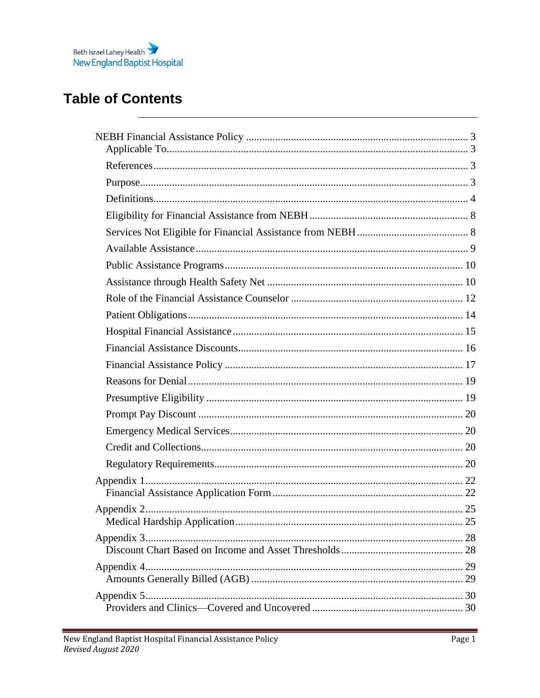

## **Table of Contents**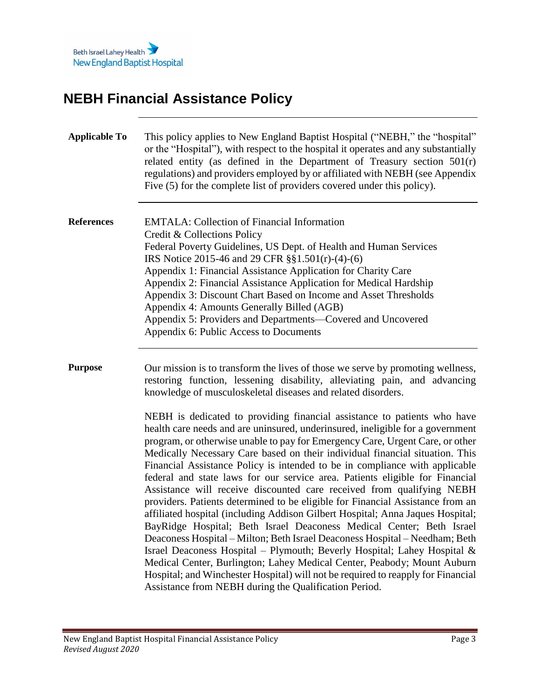

# <span id="page-2-0"></span>**NEBH Financial Assistance Policy**

<span id="page-2-3"></span><span id="page-2-2"></span><span id="page-2-1"></span>

| <b>Applicable To</b> | This policy applies to New England Baptist Hospital ("NEBH," the "hospital"<br>or the "Hospital"), with respect to the hospital it operates and any substantially<br>related entity (as defined in the Department of Treasury section $501(r)$<br>regulations) and providers employed by or affiliated with NEBH (see Appendix<br>Five (5) for the complete list of providers covered under this policy).                                                                                                                                                                                                                                                                                                                                                                                                                                                                                                                                                                                                                                                                                                                                                                                                                                                                                                                                                                                                                         |
|----------------------|-----------------------------------------------------------------------------------------------------------------------------------------------------------------------------------------------------------------------------------------------------------------------------------------------------------------------------------------------------------------------------------------------------------------------------------------------------------------------------------------------------------------------------------------------------------------------------------------------------------------------------------------------------------------------------------------------------------------------------------------------------------------------------------------------------------------------------------------------------------------------------------------------------------------------------------------------------------------------------------------------------------------------------------------------------------------------------------------------------------------------------------------------------------------------------------------------------------------------------------------------------------------------------------------------------------------------------------------------------------------------------------------------------------------------------------|
| <b>References</b>    | <b>EMTALA: Collection of Financial Information</b><br>Credit & Collections Policy<br>Federal Poverty Guidelines, US Dept. of Health and Human Services<br>IRS Notice 2015-46 and 29 CFR §§1.501(r)-(4)-(6)<br>Appendix 1: Financial Assistance Application for Charity Care<br>Appendix 2: Financial Assistance Application for Medical Hardship<br>Appendix 3: Discount Chart Based on Income and Asset Thresholds<br>Appendix 4: Amounts Generally Billed (AGB)<br>Appendix 5: Providers and Departments—Covered and Uncovered<br>Appendix 6: Public Access to Documents                                                                                                                                                                                                                                                                                                                                                                                                                                                                                                                                                                                                                                                                                                                                                                                                                                                        |
| <b>Purpose</b>       | Our mission is to transform the lives of those we serve by promoting wellness,<br>restoring function, lessening disability, alleviating pain, and advancing<br>knowledge of musculoskeletal diseases and related disorders.<br>NEBH is dedicated to providing financial assistance to patients who have<br>health care needs and are uninsured, underinsured, ineligible for a government<br>program, or otherwise unable to pay for Emergency Care, Urgent Care, or other<br>Medically Necessary Care based on their individual financial situation. This<br>Financial Assistance Policy is intended to be in compliance with applicable<br>federal and state laws for our service area. Patients eligible for Financial<br>Assistance will receive discounted care received from qualifying NEBH<br>providers. Patients determined to be eligible for Financial Assistance from an<br>affiliated hospital (including Addison Gilbert Hospital; Anna Jaques Hospital;<br>BayRidge Hospital; Beth Israel Deaconess Medical Center; Beth Israel<br>Deaconess Hospital – Milton; Beth Israel Deaconess Hospital – Needham; Beth<br>Israel Deaconess Hospital - Plymouth; Beverly Hospital; Lahey Hospital &<br>Medical Center, Burlington; Lahey Medical Center, Peabody; Mount Auburn<br>Hospital; and Winchester Hospital) will not be required to reapply for Financial<br>Assistance from NEBH during the Qualification Period. |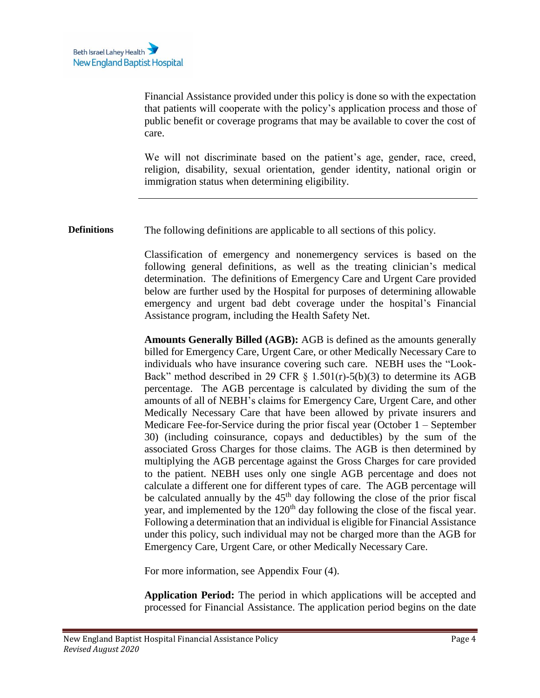Financial Assistance provided under this policy is done so with the expectation that patients will cooperate with the policy's application process and those of public benefit or coverage programs that may be available to cover the cost of care.

We will not discriminate based on the patient's age, gender, race, creed, religion, disability, sexual orientation, gender identity, national origin or immigration status when determining eligibility.

<span id="page-3-0"></span>**Definitions** The following definitions are applicable to all sections of this policy.

Classification of emergency and nonemergency services is based on the following general definitions, as well as the treating clinician's medical determination. The definitions of Emergency Care and Urgent Care provided below are further used by the Hospital for purposes of determining allowable emergency and urgent bad debt coverage under the hospital's Financial Assistance program, including the Health Safety Net.

**Amounts Generally Billed (AGB):** AGB is defined as the amounts generally billed for Emergency Care, Urgent Care, or other Medically Necessary Care to individuals who have insurance covering such care. NEBH uses the "Look-Back" method described in 29 CFR  $\S$  1.501(r)-5(b)(3) to determine its AGB percentage. The AGB percentage is calculated by dividing the sum of the amounts of all of NEBH's claims for Emergency Care, Urgent Care, and other Medically Necessary Care that have been allowed by private insurers and Medicare Fee-for-Service during the prior fiscal year (October 1 – September 30) (including coinsurance, copays and deductibles) by the sum of the associated Gross Charges for those claims. The AGB is then determined by multiplying the AGB percentage against the Gross Charges for care provided to the patient. NEBH uses only one single AGB percentage and does not calculate a different one for different types of care. The AGB percentage will be calculated annually by the  $45<sup>th</sup>$  day following the close of the prior fiscal year, and implemented by the 120<sup>th</sup> day following the close of the fiscal year. Following a determination that an individual is eligible for Financial Assistance under this policy, such individual may not be charged more than the AGB for Emergency Care, Urgent Care, or other Medically Necessary Care.

For more information, see Appendix Four (4).

**Application Period:** The period in which applications will be accepted and processed for Financial Assistance. The application period begins on the date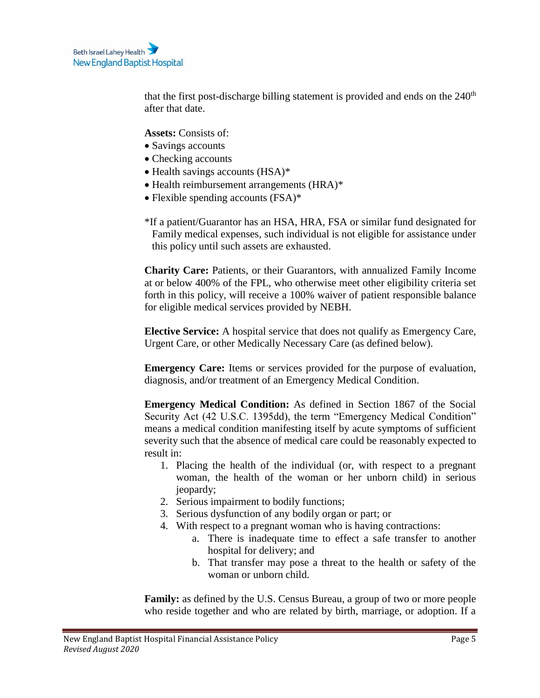that the first post-discharge billing statement is provided and ends on the  $240<sup>th</sup>$ after that date.

**Assets:** Consists of:

- Savings accounts
- Checking accounts
- Health savings accounts (HSA)\*
- Health reimbursement arrangements (HRA)\*
- Flexible spending accounts (FSA)\*
- \*If a patient/Guarantor has an HSA, HRA, FSA or similar fund designated for Family medical expenses, such individual is not eligible for assistance under this policy until such assets are exhausted.

**Charity Care:** Patients, or their Guarantors, with annualized Family Income at or below 400% of the FPL, who otherwise meet other eligibility criteria set forth in this policy, will receive a 100% waiver of patient responsible balance for eligible medical services provided by NEBH.

**Elective Service:** A hospital service that does not qualify as Emergency Care, Urgent Care, or other Medically Necessary Care (as defined below).

**Emergency Care:** Items or services provided for the purpose of evaluation, diagnosis, and/or treatment of an Emergency Medical Condition.

**Emergency Medical Condition:** As defined in Section 1867 of the Social Security Act (42 U.S.C. 1395dd), the term "Emergency Medical Condition" means a medical condition manifesting itself by acute symptoms of sufficient severity such that the absence of medical care could be reasonably expected to result in:

- 1. Placing the health of the individual (or, with respect to a pregnant woman, the health of the woman or her unborn child) in serious jeopardy;
- 2. Serious impairment to bodily functions;
- 3. Serious dysfunction of any bodily organ or part; or
- 4. With respect to a pregnant woman who is having contractions:
	- a. There is inadequate time to effect a safe transfer to another hospital for delivery; and
	- b. That transfer may pose a threat to the health or safety of the woman or unborn child.

**Family:** as defined by the U.S. Census Bureau, a group of two or more people who reside together and who are related by birth, marriage, or adoption. If a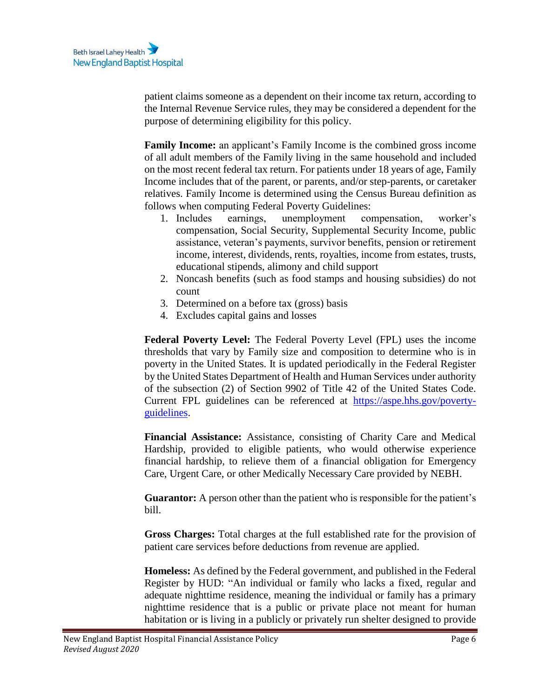patient claims someone as a dependent on their income tax return, according to the Internal Revenue Service rules, they may be considered a dependent for the purpose of determining eligibility for this policy.

**Family Income:** an applicant's Family Income is the combined gross income of all adult members of the Family living in the same household and included on the most recent federal tax return. For patients under 18 years of age, Family Income includes that of the parent, or parents, and/or step-parents, or caretaker relatives. Family Income is determined using the Census Bureau definition as follows when computing Federal Poverty Guidelines:

- 1. Includes earnings, unemployment compensation, worker's compensation, Social Security, Supplemental Security Income, public assistance, veteran's payments, survivor benefits, pension or retirement income, interest, dividends, rents, royalties, income from estates, trusts, educational stipends, alimony and child support
- 2. Noncash benefits (such as food stamps and housing subsidies) do not count
- 3. Determined on a before tax (gross) basis
- 4. Excludes capital gains and losses

**Federal Poverty Level:** The Federal Poverty Level (FPL) uses the income thresholds that vary by Family size and composition to determine who is in poverty in the United States. It is updated periodically in the Federal Register by the United States Department of Health and Human Services under authority of the subsection (2) of Section 9902 of Title 42 of the United States Code. Current FPL guidelines can be referenced at [https://aspe.hhs.gov/poverty](https://aspe.hhs.gov/poverty-guidelines)[guidelines.](https://aspe.hhs.gov/poverty-guidelines)

**Financial Assistance:** Assistance, consisting of Charity Care and Medical Hardship, provided to eligible patients, who would otherwise experience financial hardship, to relieve them of a financial obligation for Emergency Care, Urgent Care, or other Medically Necessary Care provided by NEBH.

**Guarantor:** A person other than the patient who is responsible for the patient's bill.

**Gross Charges:** Total charges at the full established rate for the provision of patient care services before deductions from revenue are applied.

**Homeless:** As defined by the Federal government, and published in the Federal Register by HUD: "An individual or family who lacks a fixed, regular and adequate nighttime residence, meaning the individual or family has a primary nighttime residence that is a public or private place not meant for human habitation or is living in a publicly or privately run shelter designed to provide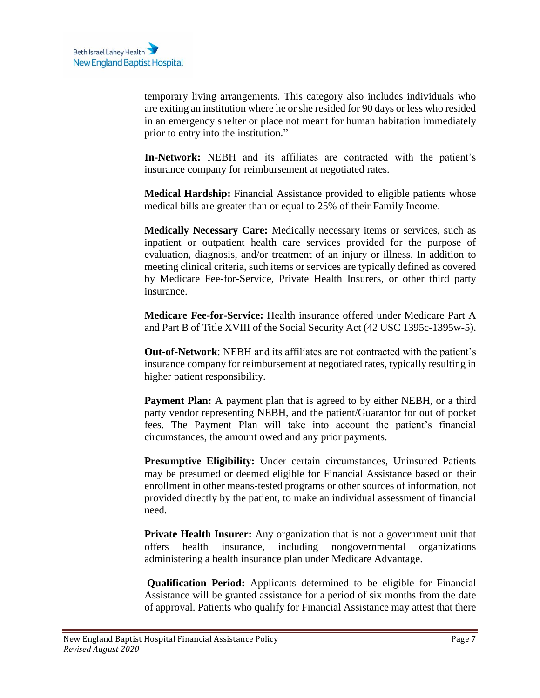temporary living arrangements. This category also includes individuals who are exiting an institution where he or she resided for 90 days or less who resided in an emergency shelter or place not meant for human habitation immediately prior to entry into the institution."

**In-Network:** NEBH and its affiliates are contracted with the patient's insurance company for reimbursement at negotiated rates.

**Medical Hardship:** Financial Assistance provided to eligible patients whose medical bills are greater than or equal to 25% of their Family Income.

**Medically Necessary Care:** Medically necessary items or services, such as inpatient or outpatient health care services provided for the purpose of evaluation, diagnosis, and/or treatment of an injury or illness. In addition to meeting clinical criteria, such items or services are typically defined as covered by Medicare Fee-for-Service, Private Health Insurers, or other third party insurance.

**Medicare Fee-for-Service:** Health insurance offered under Medicare Part A and Part B of Title XVIII of the Social Security Act (42 USC 1395c-1395w-5).

**Out-of-Network**: NEBH and its affiliates are not contracted with the patient's insurance company for reimbursement at negotiated rates, typically resulting in higher patient responsibility.

**Payment Plan:** A payment plan that is agreed to by either NEBH, or a third party vendor representing NEBH, and the patient/Guarantor for out of pocket fees. The Payment Plan will take into account the patient's financial circumstances, the amount owed and any prior payments.

**Presumptive Eligibility:** Under certain circumstances, Uninsured Patients may be presumed or deemed eligible for Financial Assistance based on their enrollment in other means-tested programs or other sources of information, not provided directly by the patient, to make an individual assessment of financial need.

**Private Health Insurer:** Any organization that is not a government unit that offers health insurance, including nongovernmental organizations administering a health insurance plan under Medicare Advantage.

**Qualification Period:** Applicants determined to be eligible for Financial Assistance will be granted assistance for a period of six months from the date of approval. Patients who qualify for Financial Assistance may attest that there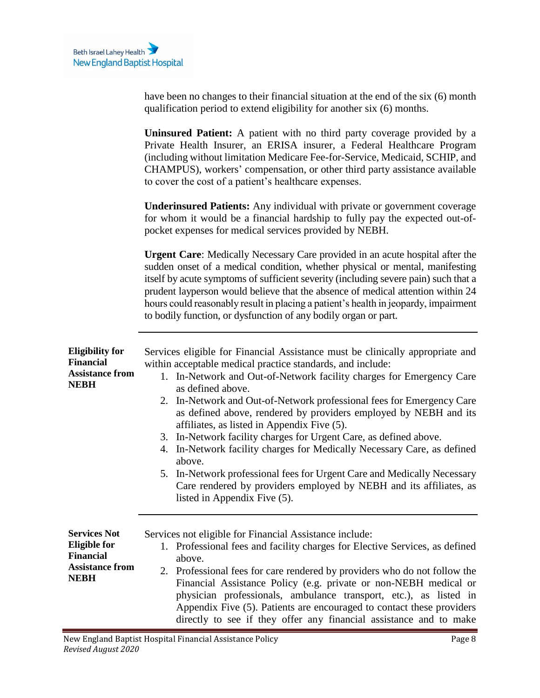<span id="page-7-1"></span><span id="page-7-0"></span>

|                                                                                                         | have been no changes to their financial situation at the end of the six (6) month<br>qualification period to extend eligibility for another six (6) months.                                                                                                                                                                                                                                                                                                                                                                                                                                                                                                                                                                                                                        |
|---------------------------------------------------------------------------------------------------------|------------------------------------------------------------------------------------------------------------------------------------------------------------------------------------------------------------------------------------------------------------------------------------------------------------------------------------------------------------------------------------------------------------------------------------------------------------------------------------------------------------------------------------------------------------------------------------------------------------------------------------------------------------------------------------------------------------------------------------------------------------------------------------|
|                                                                                                         | Uninsured Patient: A patient with no third party coverage provided by a<br>Private Health Insurer, an ERISA insurer, a Federal Healthcare Program<br>(including without limitation Medicare Fee-for-Service, Medicaid, SCHIP, and<br>CHAMPUS), workers' compensation, or other third party assistance available<br>to cover the cost of a patient's healthcare expenses.                                                                                                                                                                                                                                                                                                                                                                                                           |
|                                                                                                         | <b>Underinsured Patients:</b> Any individual with private or government coverage<br>for whom it would be a financial hardship to fully pay the expected out-of-<br>pocket expenses for medical services provided by NEBH.                                                                                                                                                                                                                                                                                                                                                                                                                                                                                                                                                          |
|                                                                                                         | <b>Urgent Care:</b> Medically Necessary Care provided in an acute hospital after the<br>sudden onset of a medical condition, whether physical or mental, manifesting<br>itself by acute symptoms of sufficient severity (including severe pain) such that a<br>prudent layperson would believe that the absence of medical attention within 24<br>hours could reasonably result in placing a patient's health in jeopardy, impairment<br>to bodily function, or dysfunction of any bodily organ or part.                                                                                                                                                                                                                                                                           |
| <b>Eligibility for</b><br><b>Financial</b><br><b>Assistance from</b><br><b>NEBH</b>                     | Services eligible for Financial Assistance must be clinically appropriate and<br>within acceptable medical practice standards, and include:<br>1. In-Network and Out-of-Network facility charges for Emergency Care<br>as defined above.<br>In-Network and Out-of-Network professional fees for Emergency Care<br>2.<br>as defined above, rendered by providers employed by NEBH and its<br>affiliates, as listed in Appendix Five (5).<br>3. In-Network facility charges for Urgent Care, as defined above.<br>4. In-Network facility charges for Medically Necessary Care, as defined<br>above.<br>5. In-Network professional fees for Urgent Care and Medically Necessary<br>Care rendered by providers employed by NEBH and its affiliates, as<br>listed in Appendix Five (5). |
| <b>Services Not</b><br><b>Eligible for</b><br><b>Financial</b><br><b>Assistance from</b><br><b>NEBH</b> | Services not eligible for Financial Assistance include:<br>1. Professional fees and facility charges for Elective Services, as defined<br>above.<br>2. Professional fees for care rendered by providers who do not follow the<br>Financial Assistance Policy (e.g. private or non-NEBH medical or<br>physician professionals, ambulance transport, etc.), as listed in<br>Appendix Five (5). Patients are encouraged to contact these providers<br>directly to see if they offer any financial assistance and to make                                                                                                                                                                                                                                                              |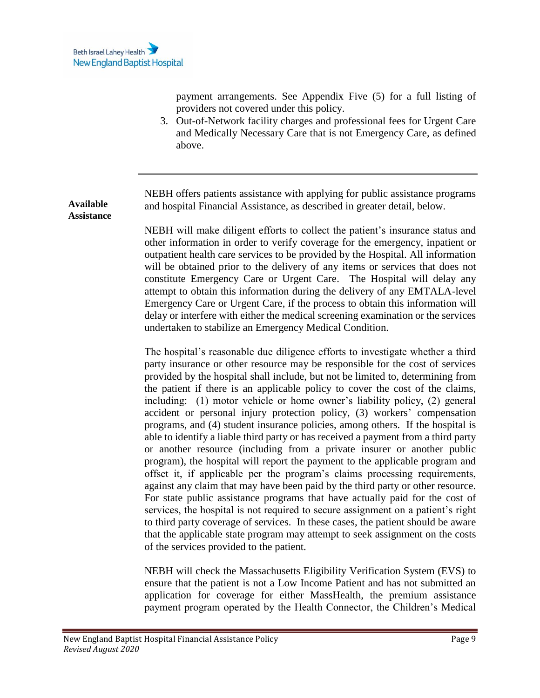<span id="page-8-0"></span>**Available Assistance**

payment arrangements. See Appendix Five (5) for a full listing of providers not covered under this policy.

3. Out-of-Network facility charges and professional fees for Urgent Care and Medically Necessary Care that is not Emergency Care, as defined above.

NEBH offers patients assistance with applying for public assistance programs and hospital Financial Assistance, as described in greater detail, below.

NEBH will make diligent efforts to collect the patient's insurance status and other information in order to verify coverage for the emergency, inpatient or outpatient health care services to be provided by the Hospital. All information will be obtained prior to the delivery of any items or services that does not constitute Emergency Care or Urgent Care. The Hospital will delay any attempt to obtain this information during the delivery of any EMTALA-level Emergency Care or Urgent Care, if the process to obtain this information will delay or interfere with either the medical screening examination or the services undertaken to stabilize an Emergency Medical Condition.

The hospital's reasonable due diligence efforts to investigate whether a third party insurance or other resource may be responsible for the cost of services provided by the hospital shall include, but not be limited to, determining from the patient if there is an applicable policy to cover the cost of the claims, including: (1) motor vehicle or home owner's liability policy, (2) general accident or personal injury protection policy, (3) workers' compensation programs, and (4) student insurance policies, among others. If the hospital is able to identify a liable third party or has received a payment from a third party or another resource (including from a private insurer or another public program), the hospital will report the payment to the applicable program and offset it, if applicable per the program's claims processing requirements, against any claim that may have been paid by the third party or other resource. For state public assistance programs that have actually paid for the cost of services, the hospital is not required to secure assignment on a patient's right to third party coverage of services. In these cases, the patient should be aware that the applicable state program may attempt to seek assignment on the costs of the services provided to the patient.

NEBH will check the Massachusetts Eligibility Verification System (EVS) to ensure that the patient is not a Low Income Patient and has not submitted an application for coverage for either MassHealth, the premium assistance payment program operated by the Health Connector, the Children's Medical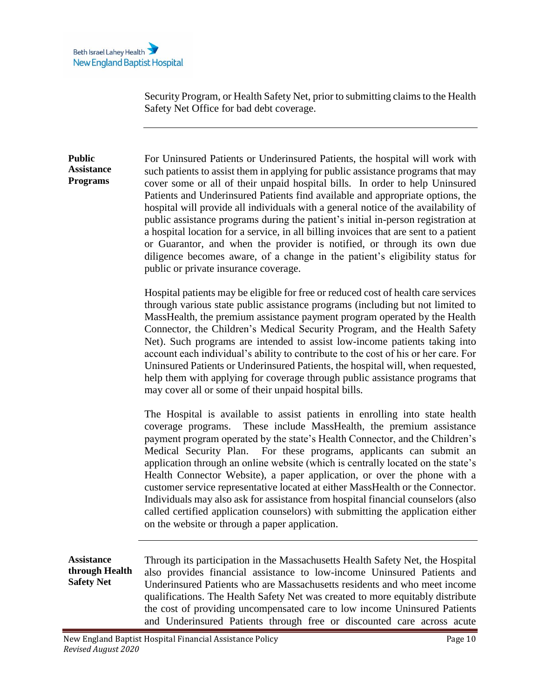Security Program, or Health Safety Net, prior to submitting claims to the Health Safety Net Office for bad debt coverage.

<span id="page-9-0"></span>**Public Assistance Programs** For Uninsured Patients or Underinsured Patients, the hospital will work with such patients to assist them in applying for public assistance programs that may cover some or all of their unpaid hospital bills. In order to help Uninsured Patients and Underinsured Patients find available and appropriate options, the hospital will provide all individuals with a general notice of the availability of public assistance programs during the patient's initial in-person registration at a hospital location for a service, in all billing invoices that are sent to a patient or Guarantor, and when the provider is notified, or through its own due diligence becomes aware, of a change in the patient's eligibility status for public or private insurance coverage.

> Hospital patients may be eligible for free or reduced cost of health care services through various state public assistance programs (including but not limited to MassHealth, the premium assistance payment program operated by the Health Connector, the Children's Medical Security Program, and the Health Safety Net). Such programs are intended to assist low-income patients taking into account each individual's ability to contribute to the cost of his or her care. For Uninsured Patients or Underinsured Patients, the hospital will, when requested, help them with applying for coverage through public assistance programs that may cover all or some of their unpaid hospital bills.

> The Hospital is available to assist patients in enrolling into state health coverage programs. These include MassHealth, the premium assistance payment program operated by the state's Health Connector, and the Children's Medical Security Plan. For these programs, applicants can submit an application through an online website (which is centrally located on the state's Health Connector Website), a paper application, or over the phone with a customer service representative located at either MassHealth or the Connector. Individuals may also ask for assistance from hospital financial counselors (also called certified application counselors) with submitting the application either on the website or through a paper application.

<span id="page-9-1"></span>**Assistance through Health Safety Net** Through its participation in the Massachusetts Health Safety Net, the Hospital also provides financial assistance to low-income Uninsured Patients and Underinsured Patients who are Massachusetts residents and who meet income qualifications. The Health Safety Net was created to more equitably distribute the cost of providing uncompensated care to low income Uninsured Patients and Underinsured Patients through free or discounted care across acute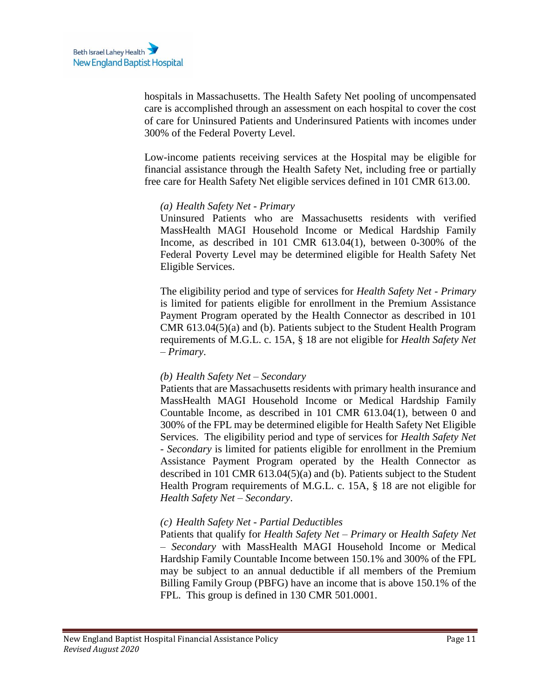hospitals in Massachusetts. The Health Safety Net pooling of uncompensated care is accomplished through an assessment on each hospital to cover the cost of care for Uninsured Patients and Underinsured Patients with incomes under 300% of the Federal Poverty Level.

Low-income patients receiving services at the Hospital may be eligible for financial assistance through the Health Safety Net, including free or partially free care for Health Safety Net eligible services defined in 101 CMR 613.00.

### *(a) Health Safety Net - Primary*

Uninsured Patients who are Massachusetts residents with verified MassHealth MAGI Household Income or Medical Hardship Family Income, as described in 101 CMR 613.04(1), between 0-300% of the Federal Poverty Level may be determined eligible for Health Safety Net Eligible Services.

The eligibility period and type of services for *Health Safety Net - Primary* is limited for patients eligible for enrollment in the Premium Assistance Payment Program operated by the Health Connector as described in 101 CMR 613.04(5)(a) and (b). Patients subject to the Student Health Program requirements of M.G.L. c. 15A, § 18 are not eligible for *Health Safety Net – Primary*.

### *(b) Health Safety Net – Secondary*

Patients that are Massachusetts residents with primary health insurance and MassHealth MAGI Household Income or Medical Hardship Family Countable Income, as described in 101 CMR 613.04(1), between 0 and 300% of the FPL may be determined eligible for Health Safety Net Eligible Services. The eligibility period and type of services for *Health Safety Net - Secondary* is limited for patients eligible for enrollment in the Premium Assistance Payment Program operated by the Health Connector as described in 101 CMR 613.04(5)(a) and (b). Patients subject to the Student Health Program requirements of M.G.L. c. 15A, § 18 are not eligible for *Health Safety Net – Secondary*.

### *(c) Health Safety Net - Partial Deductibles*

Patients that qualify for *Health Safety Net – Primary* or *Health Safety Net – Secondary* with MassHealth MAGI Household Income or Medical Hardship Family Countable Income between 150.1% and 300% of the FPL may be subject to an annual deductible if all members of the Premium Billing Family Group (PBFG) have an income that is above 150.1% of the FPL. This group is defined in 130 CMR 501.0001.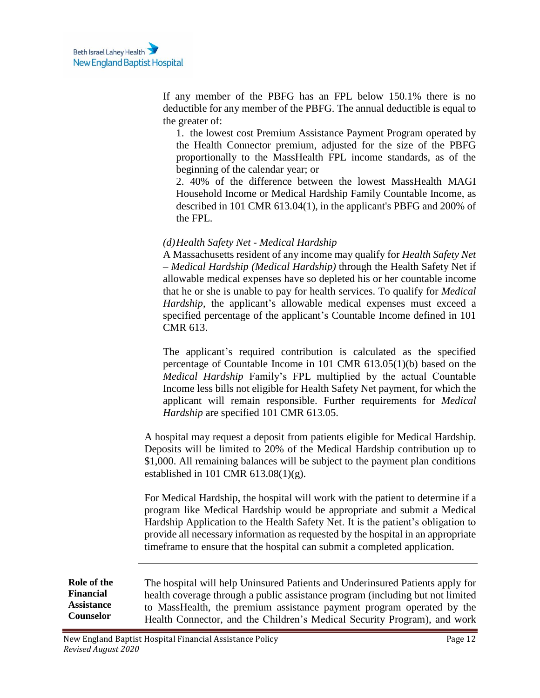If any member of the PBFG has an FPL below 150.1% there is no deductible for any member of the PBFG. The annual deductible is equal to the greater of:

1. the lowest cost Premium Assistance Payment Program operated by the Health Connector premium, adjusted for the size of the PBFG proportionally to the MassHealth FPL income standards, as of the beginning of the calendar year; or

2. 40% of the difference between the lowest MassHealth MAGI Household Income or Medical Hardship Family Countable Income, as described in 101 CMR 613.04(1), in the applicant's PBFG and 200% of the FPL.

### *(d)Health Safety Net - Medical Hardship*

A Massachusetts resident of any income may qualify for *Health Safety Net – Medical Hardship (Medical Hardship)* through the Health Safety Net if allowable medical expenses have so depleted his or her countable income that he or she is unable to pay for health services. To qualify for *Medical Hardship*, the applicant's allowable medical expenses must exceed a specified percentage of the applicant's Countable Income defined in 101 CMR 613.

The applicant's required contribution is calculated as the specified percentage of Countable Income in 101 CMR 613.05(1)(b) based on the *Medical Hardship* Family's FPL multiplied by the actual Countable Income less bills not eligible for Health Safety Net payment, for which the applicant will remain responsible. Further requirements for *Medical Hardship* are specified 101 CMR 613.05.

A hospital may request a deposit from patients eligible for Medical Hardship. Deposits will be limited to 20% of the Medical Hardship contribution up to \$1,000. All remaining balances will be subject to the payment plan conditions established in 101 CMR 613.08(1)(g).

For Medical Hardship, the hospital will work with the patient to determine if a program like Medical Hardship would be appropriate and submit a Medical Hardship Application to the Health Safety Net. It is the patient's obligation to provide all necessary information as requested by the hospital in an appropriate timeframe to ensure that the hospital can submit a completed application.

<span id="page-11-0"></span>**Role of the Financial Assistance Counselor** The hospital will help Uninsured Patients and Underinsured Patients apply for health coverage through a public assistance program (including but not limited to MassHealth, the premium assistance payment program operated by the Health Connector, and the Children's Medical Security Program), and work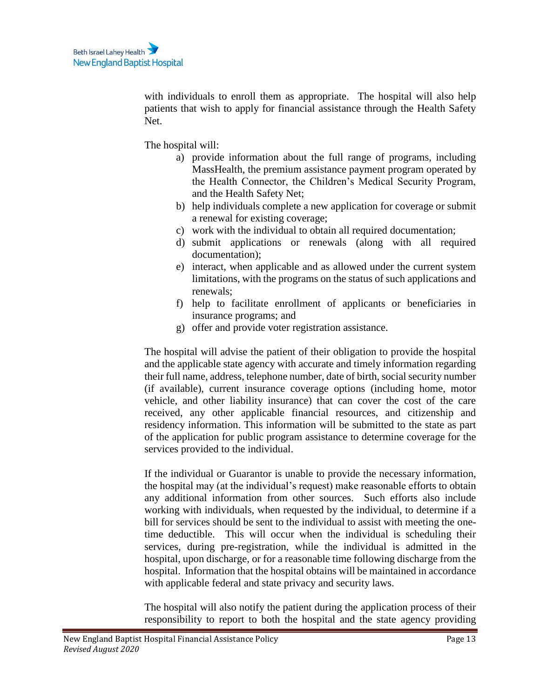with individuals to enroll them as appropriate. The hospital will also help patients that wish to apply for financial assistance through the Health Safety Net.

The hospital will:

- a) provide information about the full range of programs, including MassHealth, the premium assistance payment program operated by the Health Connector, the Children's Medical Security Program, and the Health Safety Net;
- b) help individuals complete a new application for coverage or submit a renewal for existing coverage;
- c) work with the individual to obtain all required documentation;
- d) submit applications or renewals (along with all required documentation);
- e) interact, when applicable and as allowed under the current system limitations, with the programs on the status of such applications and renewals;
- f) help to facilitate enrollment of applicants or beneficiaries in insurance programs; and
- g) offer and provide voter registration assistance.

The hospital will advise the patient of their obligation to provide the hospital and the applicable state agency with accurate and timely information regarding their full name, address, telephone number, date of birth, social security number (if available), current insurance coverage options (including home, motor vehicle, and other liability insurance) that can cover the cost of the care received, any other applicable financial resources, and citizenship and residency information. This information will be submitted to the state as part of the application for public program assistance to determine coverage for the services provided to the individual.

If the individual or Guarantor is unable to provide the necessary information, the hospital may (at the individual's request) make reasonable efforts to obtain any additional information from other sources. Such efforts also include working with individuals, when requested by the individual, to determine if a bill for services should be sent to the individual to assist with meeting the onetime deductible. This will occur when the individual is scheduling their services, during pre-registration, while the individual is admitted in the hospital, upon discharge, or for a reasonable time following discharge from the hospital. Information that the hospital obtains will be maintained in accordance with applicable federal and state privacy and security laws.

The hospital will also notify the patient during the application process of their responsibility to report to both the hospital and the state agency providing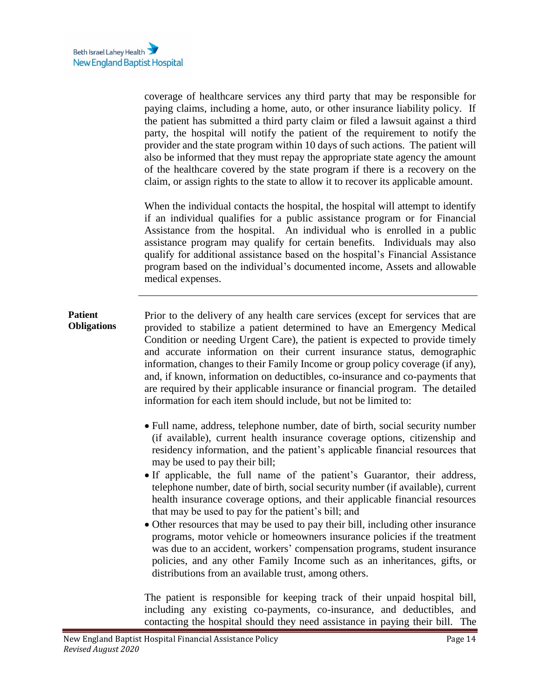coverage of healthcare services any third party that may be responsible for paying claims, including a home, auto, or other insurance liability policy. If the patient has submitted a third party claim or filed a lawsuit against a third party, the hospital will notify the patient of the requirement to notify the provider and the state program within 10 days of such actions. The patient will also be informed that they must repay the appropriate state agency the amount of the healthcare covered by the state program if there is a recovery on the claim, or assign rights to the state to allow it to recover its applicable amount.

When the individual contacts the hospital, the hospital will attempt to identify if an individual qualifies for a public assistance program or for Financial Assistance from the hospital. An individual who is enrolled in a public assistance program may qualify for certain benefits. Individuals may also qualify for additional assistance based on the hospital's Financial Assistance program based on the individual's documented income, Assets and allowable medical expenses.

#### <span id="page-13-0"></span>**Patient Obligations** Prior to the delivery of any health care services (except for services that are provided to stabilize a patient determined to have an Emergency Medical Condition or needing Urgent Care), the patient is expected to provide timely and accurate information on their current insurance status, demographic information, changes to their Family Income or group policy coverage (if any), and, if known, information on deductibles, co-insurance and co-payments that are required by their applicable insurance or financial program. The detailed information for each item should include, but not be limited to:

- Full name, address, telephone number, date of birth, social security number (if available), current health insurance coverage options, citizenship and residency information, and the patient's applicable financial resources that may be used to pay their bill;
- If applicable, the full name of the patient's Guarantor, their address, telephone number, date of birth, social security number (if available), current health insurance coverage options, and their applicable financial resources that may be used to pay for the patient's bill; and
- Other resources that may be used to pay their bill, including other insurance programs, motor vehicle or homeowners insurance policies if the treatment was due to an accident, workers' compensation programs, student insurance policies, and any other Family Income such as an inheritances, gifts, or distributions from an available trust, among others.

The patient is responsible for keeping track of their unpaid hospital bill, including any existing co-payments, co-insurance, and deductibles, and contacting the hospital should they need assistance in paying their bill. The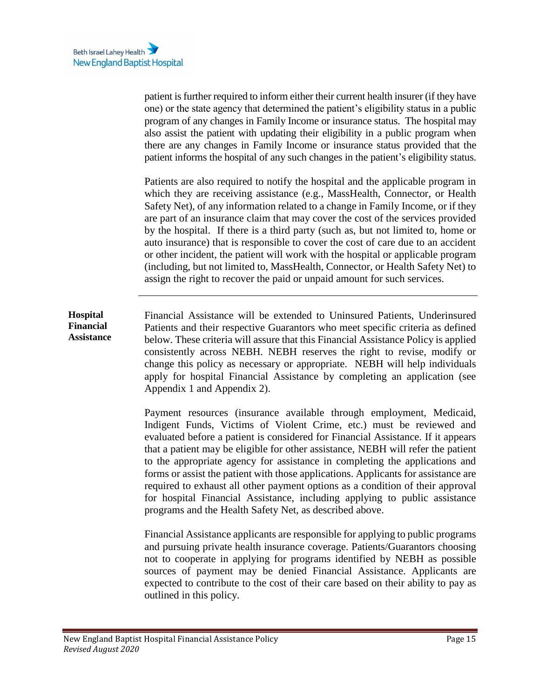patient is further required to inform either their current health insurer (if they have one) or the state agency that determined the patient's eligibility status in a public program of any changes in Family Income or insurance status. The hospital may also assist the patient with updating their eligibility in a public program when there are any changes in Family Income or insurance status provided that the patient informs the hospital of any such changes in the patient's eligibility status.

Patients are also required to notify the hospital and the applicable program in which they are receiving assistance (e.g., MassHealth, Connector, or Health Safety Net), of any information related to a change in Family Income, or if they are part of an insurance claim that may cover the cost of the services provided by the hospital. If there is a third party (such as, but not limited to, home or auto insurance) that is responsible to cover the cost of care due to an accident or other incident, the patient will work with the hospital or applicable program (including, but not limited to, MassHealth, Connector, or Health Safety Net) to assign the right to recover the paid or unpaid amount for such services.

<span id="page-14-0"></span>**Hospital Financial Assistance** Financial Assistance will be extended to Uninsured Patients, Underinsured Patients and their respective Guarantors who meet specific criteria as defined below. These criteria will assure that this Financial Assistance Policy is applied consistently across NEBH. NEBH reserves the right to revise, modify or change this policy as necessary or appropriate. NEBH will help individuals apply for hospital Financial Assistance by completing an application (see Appendix 1 and Appendix 2).

> Payment resources (insurance available through employment, Medicaid, Indigent Funds, Victims of Violent Crime, etc.) must be reviewed and evaluated before a patient is considered for Financial Assistance. If it appears that a patient may be eligible for other assistance, NEBH will refer the patient to the appropriate agency for assistance in completing the applications and forms or assist the patient with those applications. Applicants for assistance are required to exhaust all other payment options as a condition of their approval for hospital Financial Assistance, including applying to public assistance programs and the Health Safety Net, as described above.

> Financial Assistance applicants are responsible for applying to public programs and pursuing private health insurance coverage. Patients/Guarantors choosing not to cooperate in applying for programs identified by NEBH as possible sources of payment may be denied Financial Assistance. Applicants are expected to contribute to the cost of their care based on their ability to pay as outlined in this policy.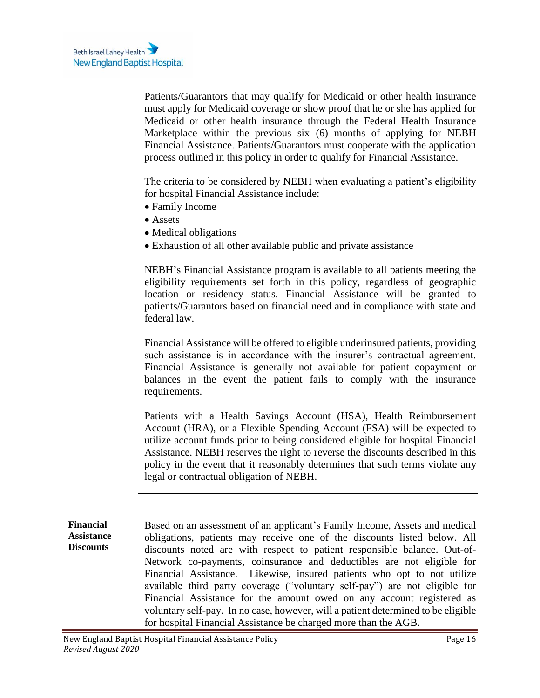Patients/Guarantors that may qualify for Medicaid or other health insurance must apply for Medicaid coverage or show proof that he or she has applied for Medicaid or other health insurance through the Federal Health Insurance Marketplace within the previous six (6) months of applying for NEBH Financial Assistance. Patients/Guarantors must cooperate with the application process outlined in this policy in order to qualify for Financial Assistance.

The criteria to be considered by NEBH when evaluating a patient's eligibility for hospital Financial Assistance include:

- Family Income
- Assets
- Medical obligations
- Exhaustion of all other available public and private assistance

NEBH's Financial Assistance program is available to all patients meeting the eligibility requirements set forth in this policy, regardless of geographic location or residency status. Financial Assistance will be granted to patients/Guarantors based on financial need and in compliance with state and federal law.

Financial Assistance will be offered to eligible underinsured patients, providing such assistance is in accordance with the insurer's contractual agreement. Financial Assistance is generally not available for patient copayment or balances in the event the patient fails to comply with the insurance requirements.

Patients with a Health Savings Account (HSA), Health Reimbursement Account (HRA), or a Flexible Spending Account (FSA) will be expected to utilize account funds prior to being considered eligible for hospital Financial Assistance. NEBH reserves the right to reverse the discounts described in this policy in the event that it reasonably determines that such terms violate any legal or contractual obligation of NEBH.

<span id="page-15-0"></span>**Financial Assistance Discounts** Based on an assessment of an applicant's Family Income, Assets and medical obligations, patients may receive one of the discounts listed below. All discounts noted are with respect to patient responsible balance. Out-of-Network co-payments, coinsurance and deductibles are not eligible for Financial Assistance. Likewise, insured patients who opt to not utilize available third party coverage ("voluntary self-pay") are not eligible for Financial Assistance for the amount owed on any account registered as voluntary self-pay.In no case, however, will a patient determined to be eligible for hospital Financial Assistance be charged more than the AGB.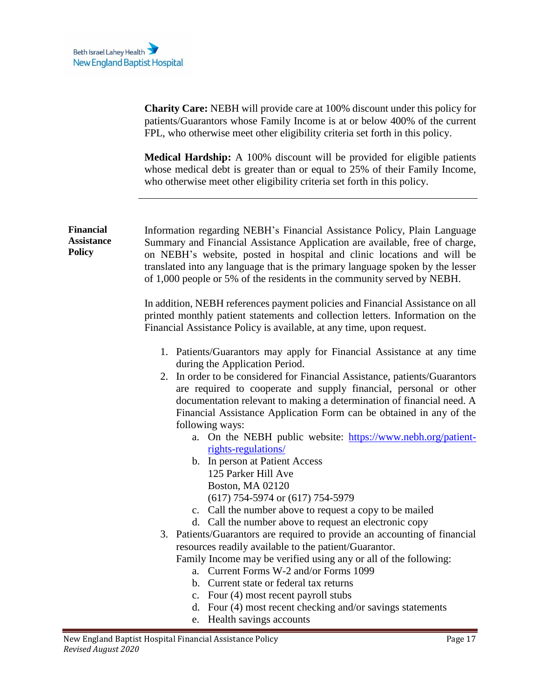**Charity Care:** NEBH will provide care at 100% discount under this policy for patients/Guarantors whose Family Income is at or below 400% of the current FPL, who otherwise meet other eligibility criteria set forth in this policy.

**Medical Hardship:** A 100% discount will be provided for eligible patients whose medical debt is greater than or equal to 25% of their Family Income, who otherwise meet other eligibility criteria set forth in this policy.

<span id="page-16-0"></span>

| <b>Financial</b><br><b>Assistance</b><br><b>Policy</b> | Information regarding NEBH's Financial Assistance Policy, Plain Language<br>Summary and Financial Assistance Application are available, free of charge,<br>on NEBH's website, posted in hospital and clinic locations and will be<br>translated into any language that is the primary language spoken by the lesser<br>of 1,000 people or 5% of the residents in the community served by NEBH.                                                                                                                                                                                                                                                   |
|--------------------------------------------------------|--------------------------------------------------------------------------------------------------------------------------------------------------------------------------------------------------------------------------------------------------------------------------------------------------------------------------------------------------------------------------------------------------------------------------------------------------------------------------------------------------------------------------------------------------------------------------------------------------------------------------------------------------|
|                                                        | In addition, NEBH references payment policies and Financial Assistance on all<br>printed monthly patient statements and collection letters. Information on the<br>Financial Assistance Policy is available, at any time, upon request.                                                                                                                                                                                                                                                                                                                                                                                                           |
|                                                        | 1. Patients/Guarantors may apply for Financial Assistance at any time<br>during the Application Period.<br>2. In order to be considered for Financial Assistance, patients/Guarantors<br>are required to cooperate and supply financial, personal or other<br>documentation relevant to making a determination of financial need. A<br>Financial Assistance Application Form can be obtained in any of the<br>following ways:<br>a. On the NEBH public website: https://www.nebh.org/patient-<br>rights-regulations/<br>b. In person at Patient Access<br>125 Parker Hill Ave<br><b>Boston, MA 02120</b><br>$(617)$ 754-5974 or $(617)$ 754-5979 |
|                                                        | c. Call the number above to request a copy to be mailed<br>d. Call the number above to request an electronic copy<br>3. Patients/Guarantors are required to provide an accounting of financial<br>resources readily available to the patient/Guarantor.<br>Family Income may be verified using any or all of the following:<br>a. Current Forms W-2 and/or Forms 1099<br>b. Current state or federal tax returns<br>c. Four (4) most recent payroll stubs<br>d. Four (4) most recent checking and/or savings statements<br>e. Health savings accounts                                                                                            |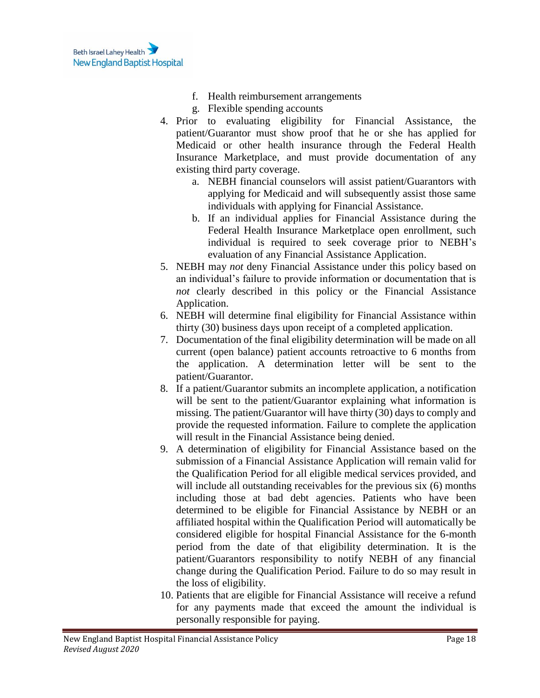- f. Health reimbursement arrangements
- g. Flexible spending accounts
- 4. Prior to evaluating eligibility for Financial Assistance, the patient/Guarantor must show proof that he or she has applied for Medicaid or other health insurance through the Federal Health Insurance Marketplace, and must provide documentation of any existing third party coverage.
	- a. NEBH financial counselors will assist patient/Guarantors with applying for Medicaid and will subsequently assist those same individuals with applying for Financial Assistance.
	- b. If an individual applies for Financial Assistance during the Federal Health Insurance Marketplace open enrollment, such individual is required to seek coverage prior to NEBH's evaluation of any Financial Assistance Application.
- 5. NEBH may *not* deny Financial Assistance under this policy based on an individual's failure to provide information or documentation that is *not* clearly described in this policy or the Financial Assistance Application.
- 6. NEBH will determine final eligibility for Financial Assistance within thirty (30) business days upon receipt of a completed application.
- 7. Documentation of the final eligibility determination will be made on all current (open balance) patient accounts retroactive to 6 months from the application. A determination letter will be sent to the patient/Guarantor.
- 8. If a patient/Guarantor submits an incomplete application, a notification will be sent to the patient/Guarantor explaining what information is missing. The patient/Guarantor will have thirty (30) days to comply and provide the requested information. Failure to complete the application will result in the Financial Assistance being denied.
- 9. A determination of eligibility for Financial Assistance based on the submission of a Financial Assistance Application will remain valid for the Qualification Period for all eligible medical services provided, and will include all outstanding receivables for the previous six (6) months including those at bad debt agencies. Patients who have been determined to be eligible for Financial Assistance by NEBH or an affiliated hospital within the Qualification Period will automatically be considered eligible for hospital Financial Assistance for the 6-month period from the date of that eligibility determination. It is the patient/Guarantors responsibility to notify NEBH of any financial change during the Qualification Period. Failure to do so may result in the loss of eligibility.
- 10. Patients that are eligible for Financial Assistance will receive a refund for any payments made that exceed the amount the individual is personally responsible for paying.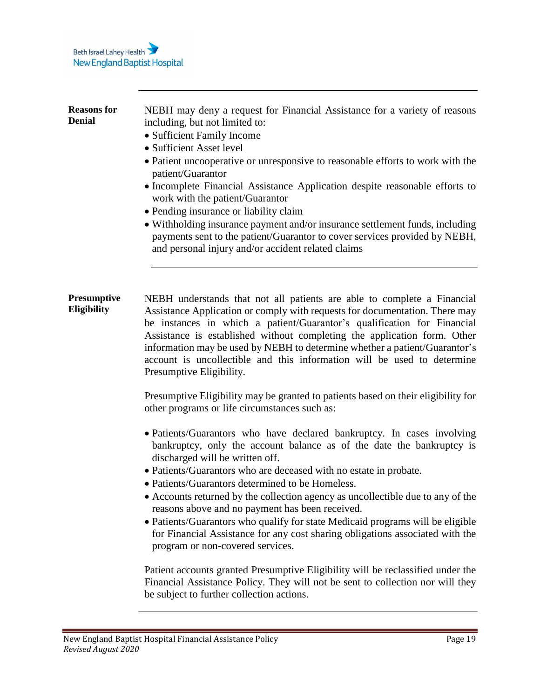<span id="page-18-1"></span><span id="page-18-0"></span>

| <b>Reasons for</b><br><b>Denial</b> | NEBH may deny a request for Financial Assistance for a variety of reasons<br>including, but not limited to:<br>• Sufficient Family Income<br>• Sufficient Asset level<br>• Patient uncooperative or unresponsive to reasonable efforts to work with the<br>patient/Guarantor<br>• Incomplete Financial Assistance Application despite reasonable efforts to<br>work with the patient/Guarantor<br>• Pending insurance or liability claim<br>• Withholding insurance payment and/or insurance settlement funds, including<br>payments sent to the patient/Guarantor to cover services provided by NEBH,<br>and personal injury and/or accident related claims                                              |
|-------------------------------------|-----------------------------------------------------------------------------------------------------------------------------------------------------------------------------------------------------------------------------------------------------------------------------------------------------------------------------------------------------------------------------------------------------------------------------------------------------------------------------------------------------------------------------------------------------------------------------------------------------------------------------------------------------------------------------------------------------------|
| <b>Presumptive</b><br>Eligibility   | NEBH understands that not all patients are able to complete a Financial<br>Assistance Application or comply with requests for documentation. There may<br>be instances in which a patient/Guarantor's qualification for Financial<br>Assistance is established without completing the application form. Other<br>information may be used by NEBH to determine whether a patient/Guarantor's<br>account is uncollectible and this information will be used to determine<br>Presumptive Eligibility.<br>Presumptive Eligibility may be granted to patients based on their eligibility for                                                                                                                   |
|                                     | other programs or life circumstances such as:<br>· Patients/Guarantors who have declared bankruptcy. In cases involving<br>bankruptcy, only the account balance as of the date the bankruptcy is<br>discharged will be written off.<br>• Patients/Guarantors who are deceased with no estate in probate.<br>• Patients/Guarantors determined to be Homeless.<br>• Accounts returned by the collection agency as uncollectible due to any of the<br>reasons above and no payment has been received.<br>• Patients/Guarantors who qualify for state Medicaid programs will be eligible<br>for Financial Assistance for any cost sharing obligations associated with the<br>program or non-covered services. |
|                                     | Patient accounts granted Presumptive Eligibility will be reclassified under the                                                                                                                                                                                                                                                                                                                                                                                                                                                                                                                                                                                                                           |

Financial Assistance Policy. They will not be sent to collection nor will they be subject to further collection actions.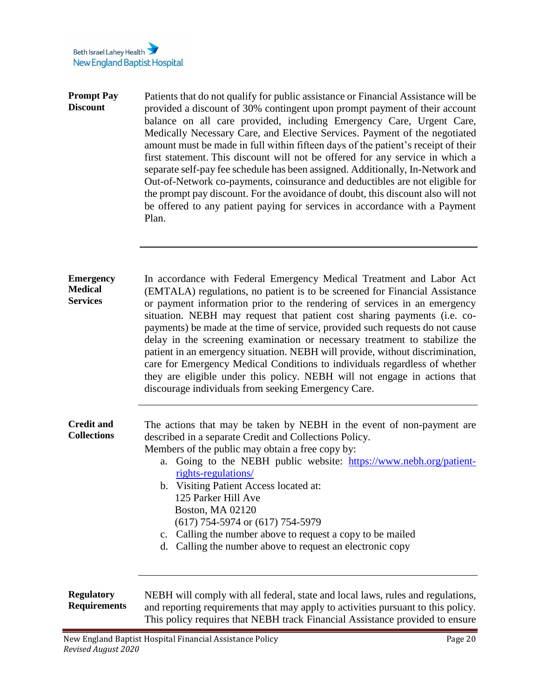<span id="page-19-3"></span><span id="page-19-2"></span><span id="page-19-1"></span><span id="page-19-0"></span>

| <b>Prompt Pay</b><br><b>Discount</b>                  | Patients that do not qualify for public assistance or Financial Assistance will be<br>provided a discount of 30% contingent upon prompt payment of their account<br>balance on all care provided, including Emergency Care, Urgent Care,<br>Medically Necessary Care, and Elective Services. Payment of the negotiated<br>amount must be made in full within fifteen days of the patient's receipt of their<br>first statement. This discount will not be offered for any service in which a<br>separate self-pay fee schedule has been assigned. Additionally, In-Network and<br>Out-of-Network co-payments, coinsurance and deductibles are not eligible for<br>the prompt pay discount. For the avoidance of doubt, this discount also will not<br>be offered to any patient paying for services in accordance with a Payment<br>Plan. |
|-------------------------------------------------------|-------------------------------------------------------------------------------------------------------------------------------------------------------------------------------------------------------------------------------------------------------------------------------------------------------------------------------------------------------------------------------------------------------------------------------------------------------------------------------------------------------------------------------------------------------------------------------------------------------------------------------------------------------------------------------------------------------------------------------------------------------------------------------------------------------------------------------------------|
| <b>Emergency</b><br><b>Medical</b><br><b>Services</b> | In accordance with Federal Emergency Medical Treatment and Labor Act<br>(EMTALA) regulations, no patient is to be screened for Financial Assistance<br>or payment information prior to the rendering of services in an emergency<br>situation. NEBH may request that patient cost sharing payments (i.e. co-<br>payments) be made at the time of service, provided such requests do not cause                                                                                                                                                                                                                                                                                                                                                                                                                                             |
|                                                       | delay in the screening examination or necessary treatment to stabilize the<br>patient in an emergency situation. NEBH will provide, without discrimination,<br>care for Emergency Medical Conditions to individuals regardless of whether<br>they are eligible under this policy. NEBH will not engage in actions that<br>discourage individuals from seeking Emergency Care.                                                                                                                                                                                                                                                                                                                                                                                                                                                             |
| <b>Credit and</b><br><b>Collections</b>               | The actions that may be taken by NEBH in the event of non-payment are<br>described in a separate Credit and Collections Policy.<br>Members of the public may obtain a free copy by:<br>Going to the NEBH public website: https://www.nebh.org/patient-<br>a.<br>rights-regulations/<br>b. Visiting Patient Access located at:<br>125 Parker Hill Ave<br>Boston, MA 02120<br>$(617)$ 754-5974 or $(617)$ 754-5979<br>c. Calling the number above to request a copy to be mailed<br>d. Calling the number above to request an electronic copy                                                                                                                                                                                                                                                                                               |
| <b>Regulatory</b><br><b>Requirements</b>              | NEBH will comply with all federal, state and local laws, rules and regulations,<br>and reporting requirements that may apply to activities pursuant to this policy.<br>This policy requires that NEBH track Financial Assistance provided to ensure                                                                                                                                                                                                                                                                                                                                                                                                                                                                                                                                                                                       |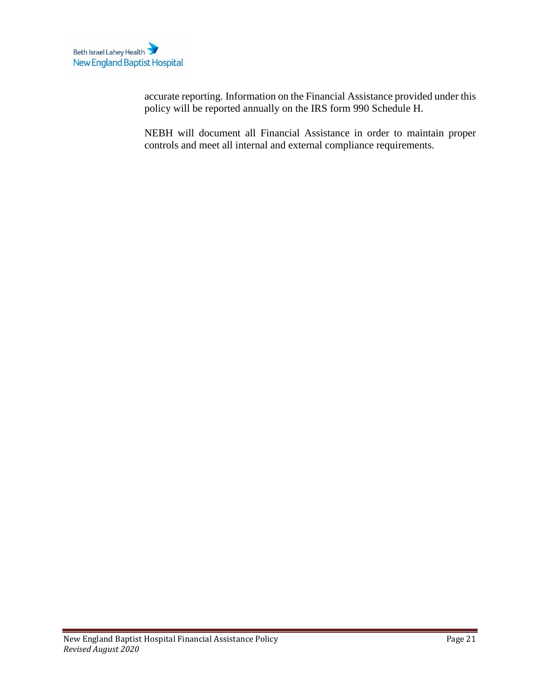accurate reporting. Information on the Financial Assistance provided under this policy will be reported annually on the IRS form 990 Schedule H.

<span id="page-20-0"></span>NEBH will document all Financial Assistance in order to maintain proper controls and meet all internal and external compliance requirements.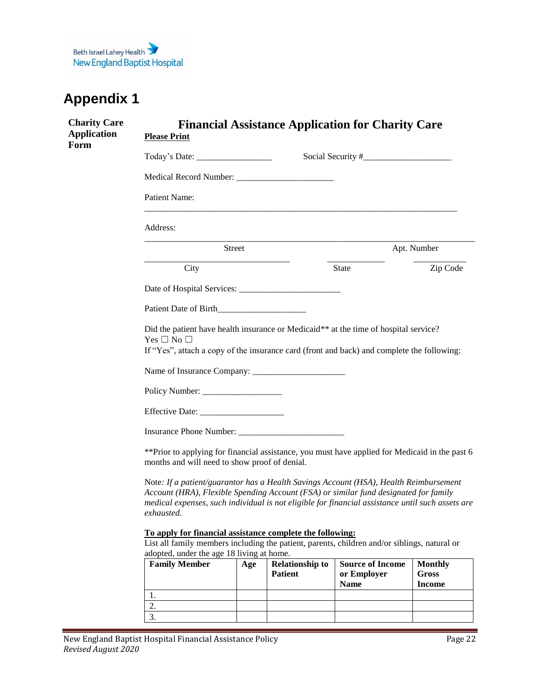<span id="page-21-0"></span>

| <b>Charity Care</b><br><b>Application</b><br>Form | <b>Please Print</b>                                                                                                                                                                                                                                                                             |     |                        | <b>Financial Assistance Application for Charity Care</b> |                               |
|---------------------------------------------------|-------------------------------------------------------------------------------------------------------------------------------------------------------------------------------------------------------------------------------------------------------------------------------------------------|-----|------------------------|----------------------------------------------------------|-------------------------------|
|                                                   |                                                                                                                                                                                                                                                                                                 |     |                        |                                                          |                               |
|                                                   |                                                                                                                                                                                                                                                                                                 |     |                        |                                                          |                               |
|                                                   | <b>Patient Name:</b>                                                                                                                                                                                                                                                                            |     |                        |                                                          |                               |
|                                                   | Address:                                                                                                                                                                                                                                                                                        |     |                        |                                                          |                               |
|                                                   | Street                                                                                                                                                                                                                                                                                          |     |                        |                                                          | Apt. Number                   |
|                                                   | City                                                                                                                                                                                                                                                                                            |     |                        | State                                                    | Zip Code                      |
|                                                   |                                                                                                                                                                                                                                                                                                 |     |                        |                                                          |                               |
|                                                   |                                                                                                                                                                                                                                                                                                 |     |                        |                                                          |                               |
|                                                   | Did the patient have health insurance or Medicaid** at the time of hospital service?<br>Yes $\Box$ No $\Box$<br>If "Yes", attach a copy of the insurance card (front and back) and complete the following:                                                                                      |     |                        |                                                          |                               |
|                                                   |                                                                                                                                                                                                                                                                                                 |     |                        |                                                          |                               |
|                                                   |                                                                                                                                                                                                                                                                                                 |     |                        |                                                          |                               |
|                                                   |                                                                                                                                                                                                                                                                                                 |     |                        |                                                          |                               |
|                                                   |                                                                                                                                                                                                                                                                                                 |     |                        |                                                          |                               |
|                                                   | ** Prior to applying for financial assistance, you must have applied for Medicaid in the past 6<br>months and will need to show proof of denial.                                                                                                                                                |     |                        |                                                          |                               |
|                                                   | Note: If a patient/guarantor has a Health Savings Account (HSA), Health Reimbursement<br>Account (HRA), Flexible Spending Account (FSA) or similar fund designated for family<br>medical expenses, such individual is not eligible for financial assistance until such assets are<br>exhausted. |     |                        |                                                          |                               |
|                                                   | To apply for financial assistance complete the following:<br>List all family members including the patient, parents, children and/or siblings, natural or<br>adopted, under the age 18 living at home.                                                                                          |     |                        |                                                          |                               |
|                                                   | <b>Family Member</b>                                                                                                                                                                                                                                                                            | Age | <b>Relationship to</b> | <b>Source of Income</b>                                  | <b>Monthly</b>                |
|                                                   |                                                                                                                                                                                                                                                                                                 |     | <b>Patient</b>         | or Employer<br><b>Name</b>                               | <b>Gross</b><br><b>Income</b> |
|                                                   | 1.                                                                                                                                                                                                                                                                                              |     |                        |                                                          |                               |
|                                                   | 2.                                                                                                                                                                                                                                                                                              |     |                        |                                                          |                               |
|                                                   | 3.                                                                                                                                                                                                                                                                                              |     |                        |                                                          |                               |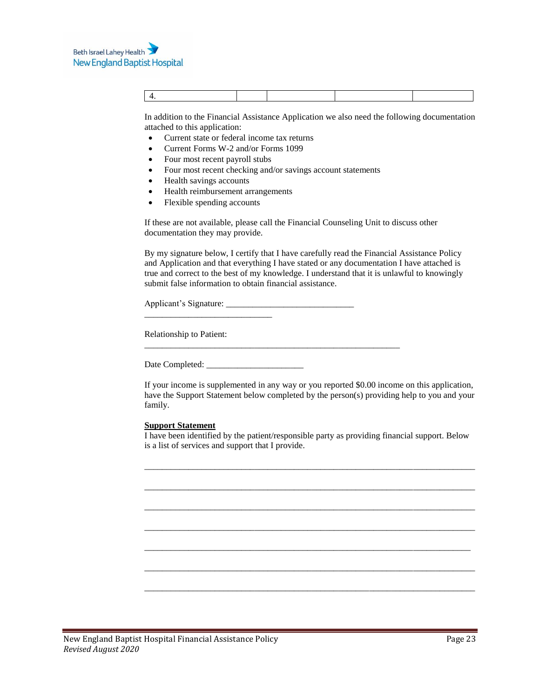In addition to the Financial Assistance Application we also need the following documentation attached to this application:

- Current state or federal income tax returns
- Current Forms W-2 and/or Forms 1099
- Four most recent payroll stubs
- Four most recent checking and/or savings account statements
- Health savings accounts
- Health reimbursement arrangements
- Flexible spending accounts

If these are not available, please call the Financial Counseling Unit to discuss other documentation they may provide.

By my signature below, I certify that I have carefully read the Financial Assistance Policy and Application and that everything I have stated or any documentation I have attached is true and correct to the best of my knowledge. I understand that it is unlawful to knowingly submit false information to obtain financial assistance.

Applicant's Signature: \_\_\_\_\_\_\_\_\_\_\_\_\_\_\_\_\_\_\_\_\_\_\_\_\_\_\_\_\_ \_\_\_\_\_\_\_\_\_\_\_\_\_\_\_\_\_\_\_\_\_\_\_\_\_\_\_\_\_

\_\_\_\_\_\_\_\_\_\_\_\_\_\_\_\_\_\_\_\_\_\_\_\_\_\_\_\_\_\_\_\_\_\_\_\_\_\_\_\_\_\_\_\_\_\_\_\_\_\_\_\_\_\_\_\_\_\_

Relationship to Patient:

Date Completed:

If your income is supplemented in any way or you reported \$0.00 income on this application, have the Support Statement below completed by the person(s) providing help to you and your family.

#### **Support Statement**

I have been identified by the patient/responsible party as providing financial support. Below is a list of services and support that I provide.

\_\_\_\_\_\_\_\_\_\_\_\_\_\_\_\_\_\_\_\_\_\_\_\_\_\_\_\_\_\_\_\_\_\_\_\_\_\_\_\_\_\_\_\_\_\_\_\_\_\_\_\_\_\_\_\_\_\_\_\_\_\_\_\_\_\_\_\_\_\_\_\_\_\_\_

\_\_\_\_\_\_\_\_\_\_\_\_\_\_\_\_\_\_\_\_\_\_\_\_\_\_\_\_\_\_\_\_\_\_\_\_\_\_\_\_\_\_\_\_\_\_\_\_\_\_\_\_\_\_\_\_\_\_\_\_\_\_\_\_\_\_\_\_\_\_\_\_\_\_\_

\_\_\_\_\_\_\_\_\_\_\_\_\_\_\_\_\_\_\_\_\_\_\_\_\_\_\_\_\_\_\_\_\_\_\_\_\_\_\_\_\_\_\_\_\_\_\_\_\_\_\_\_\_\_\_\_\_\_\_\_\_\_\_\_\_\_\_\_\_\_\_\_\_\_\_

\_\_\_\_\_\_\_\_\_\_\_\_\_\_\_\_\_\_\_\_\_\_\_\_\_\_\_\_\_\_\_\_\_\_\_\_\_\_\_\_\_\_\_\_\_\_\_\_\_\_\_\_\_\_\_\_\_\_\_\_\_\_\_\_\_\_\_\_\_\_\_\_\_\_\_

\_\_\_\_\_\_\_\_\_\_\_\_\_\_\_\_\_\_\_\_\_\_\_\_\_\_\_\_\_\_\_\_\_\_\_\_\_\_\_\_\_\_\_\_\_\_\_\_\_\_\_\_\_\_\_\_\_\_\_\_\_\_\_\_\_\_\_\_\_\_\_\_\_\_

\_\_\_\_\_\_\_\_\_\_\_\_\_\_\_\_\_\_\_\_\_\_\_\_\_\_\_\_\_\_\_\_\_\_\_\_\_\_\_\_\_\_\_\_\_\_\_\_\_\_\_\_\_\_\_\_\_\_\_\_\_\_\_\_\_\_\_\_\_\_\_\_\_\_\_

\_\_\_\_\_\_\_\_\_\_\_\_\_\_\_\_\_\_\_\_\_\_\_\_\_\_\_\_\_\_\_\_\_\_\_\_\_\_\_\_\_\_\_\_\_\_\_\_\_\_\_\_\_\_\_\_\_\_\_\_\_\_\_\_\_\_\_\_\_\_\_\_\_\_\_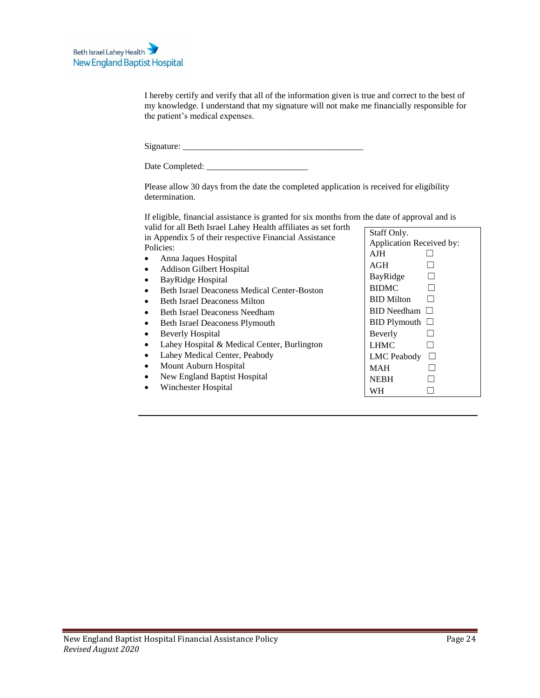I hereby certify and verify that all of the information given is true and correct to the best of my knowledge. I understand that my signature will not make me financially responsible for the patient's medical expenses.

| Signature: |  |
|------------|--|
|            |  |

| Date Completed: |  |  |
|-----------------|--|--|
|-----------------|--|--|

Please allow 30 days from the date the completed application is received for eligibility determination.

If eligible, financial assistance is granted for six months from the date of approval and is valid for all Beth Israel Lahey Health affiliates as set forth

| vanu for an Deur islael Lane y Ficalul affinates as set fortif<br>in Appendix 5 of their respective Financial Assistance | Staff Only.                  |
|--------------------------------------------------------------------------------------------------------------------------|------------------------------|
| Policies:                                                                                                                | Application Received by:     |
| Anna Jaques Hospital                                                                                                     | <b>AJH</b>                   |
| <b>Addison Gilbert Hospital</b>                                                                                          | AGH                          |
| BayRidge Hospital                                                                                                        | BayRidge                     |
| <b>Beth Israel Deaconess Medical Center-Boston</b>                                                                       | <b>BIDMC</b>                 |
| <b>Beth Israel Deaconess Milton</b>                                                                                      | <b>BID</b> Milton            |
| <b>Beth Israel Deaconess Needham</b>                                                                                     | <b>BID</b> Needham<br>$\Box$ |
| <b>Beth Israel Deaconess Plymouth</b>                                                                                    | $BID$ Plymouth $\Box$        |
| <b>Beverly Hospital</b>                                                                                                  | Beverly                      |
| Lahey Hospital & Medical Center, Burlington                                                                              | <b>LHMC</b>                  |
| Lahey Medical Center, Peabody                                                                                            | <b>LMC</b> Peabody           |
| Mount Auburn Hospital                                                                                                    | <b>MAH</b>                   |
| New England Baptist Hospital                                                                                             | <b>NEBH</b>                  |
| Winchester Hospital                                                                                                      | <b>WH</b>                    |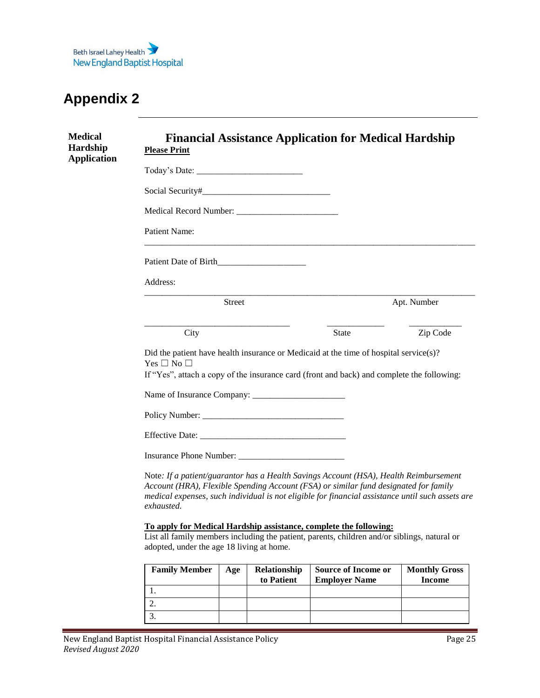<span id="page-24-1"></span><span id="page-24-0"></span>

| <b>Medical</b><br><b>Hardship</b><br><b>Application</b> | <b>Financial Assistance Application for Medical Hardship</b><br><b>Please Print</b>                                                                                                                                                                                                             |                     |               |
|---------------------------------------------------------|-------------------------------------------------------------------------------------------------------------------------------------------------------------------------------------------------------------------------------------------------------------------------------------------------|---------------------|---------------|
|                                                         |                                                                                                                                                                                                                                                                                                 |                     |               |
|                                                         |                                                                                                                                                                                                                                                                                                 |                     |               |
|                                                         |                                                                                                                                                                                                                                                                                                 |                     |               |
|                                                         | Patient Name:                                                                                                                                                                                                                                                                                   |                     |               |
|                                                         | Patient Date of Birth                                                                                                                                                                                                                                                                           |                     |               |
|                                                         | Address:                                                                                                                                                                                                                                                                                        |                     |               |
|                                                         | <b>Street</b>                                                                                                                                                                                                                                                                                   |                     | Apt. Number   |
|                                                         | City                                                                                                                                                                                                                                                                                            | State               | Zip Code      |
|                                                         | Did the patient have health insurance or Medicaid at the time of hospital service(s)?<br>Yes $\square$ No $\square$<br>If "Yes", attach a copy of the insurance card (front and back) and complete the following:                                                                               |                     |               |
|                                                         |                                                                                                                                                                                                                                                                                                 |                     |               |
|                                                         |                                                                                                                                                                                                                                                                                                 |                     |               |
|                                                         |                                                                                                                                                                                                                                                                                                 |                     |               |
|                                                         |                                                                                                                                                                                                                                                                                                 |                     |               |
|                                                         | Note: If a patient/guarantor has a Health Savings Account (HSA), Health Reimbursement<br>Account (HRA), Flexible Spending Account (FSA) or similar fund designated for family<br>medical expenses, such individual is not eligible for financial assistance until such assets are<br>exhausted. |                     |               |
|                                                         | To apply for Medical Hardship assistance, complete the following:<br>List all family members including the patient, parents, children and/or siblings, natural or<br>adopted, under the age 18 living at home.                                                                                  |                     |               |
|                                                         | <b>Family Member</b>   Age   Relationshin                                                                                                                                                                                                                                                       | Source of Income or | Monthly Gross |

| <b>Family Member</b> | Age | Relationship<br>to Patient | <b>Source of Income or</b><br><b>Employer Name</b> | <b>Monthly Gross</b><br><b>Income</b> |
|----------------------|-----|----------------------------|----------------------------------------------------|---------------------------------------|
|                      |     |                            |                                                    |                                       |
|                      |     |                            |                                                    |                                       |
|                      |     |                            |                                                    |                                       |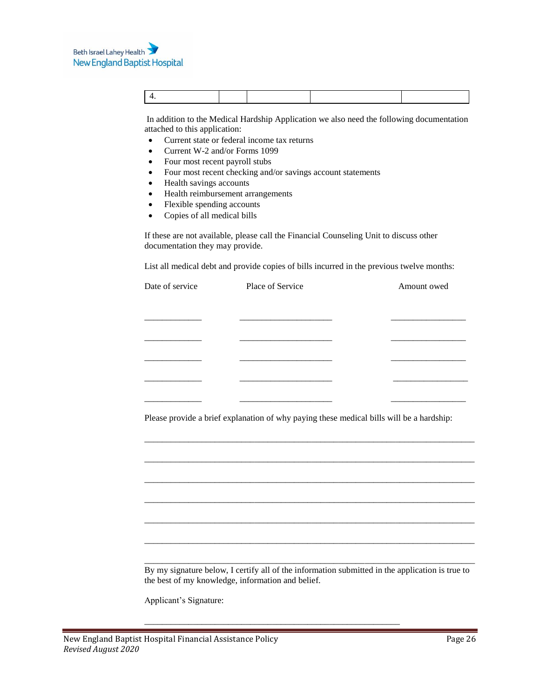In addition to the Medical Hardship Application we also need the following documentation attached to this application:

- Current state or federal income tax returns
- Current W-2 and/or Forms 1099
- Four most recent payroll stubs
- Four most recent checking and/or savings account statements
- Health savings accounts
- Health reimbursement arrangements
- Flexible spending accounts
- Copies of all medical bills

If these are not available, please call the Financial Counseling Unit to discuss other documentation they may provide.

List all medical debt and provide copies of bills incurred in the previous twelve months:

| Date of service | Place of Service                                                                         | Amount owed                                         |
|-----------------|------------------------------------------------------------------------------------------|-----------------------------------------------------|
|                 |                                                                                          |                                                     |
|                 |                                                                                          |                                                     |
|                 |                                                                                          |                                                     |
|                 |                                                                                          |                                                     |
|                 |                                                                                          | <u> 1980 - Johann John Stone, Amerikaansk konst</u> |
|                 |                                                                                          |                                                     |
|                 | Please provide a brief explanation of why paying these medical bills will be a hardship: |                                                     |
|                 |                                                                                          |                                                     |
|                 |                                                                                          |                                                     |
|                 |                                                                                          |                                                     |
|                 |                                                                                          |                                                     |
|                 |                                                                                          |                                                     |
|                 |                                                                                          |                                                     |

\_\_\_\_\_\_\_\_\_\_\_\_\_\_\_\_\_\_\_\_\_\_\_\_\_\_\_\_\_\_\_\_\_\_\_\_\_\_\_\_\_\_\_\_\_\_\_\_\_\_\_\_\_\_\_\_\_\_

Applicant's Signature: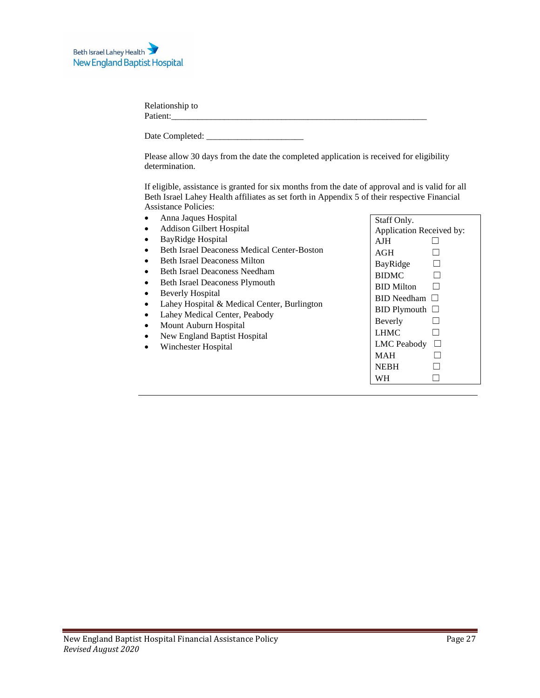| Relationship to |  |  |
|-----------------|--|--|
| Patient:        |  |  |
|                 |  |  |

Date Completed: \_\_\_\_\_\_\_\_\_\_\_\_\_\_\_\_\_\_\_\_\_\_

Please allow 30 days from the date the completed application is received for eligibility determination.

If eligible, assistance is granted for six months from the date of approval and is valid for all Beth Israel Lahey Health affiliates as set forth in Appendix 5 of their respective Financial Assistance Policies:

| Anna Jaques Hospital<br>$\bullet$                                        | Staff Only.              |
|--------------------------------------------------------------------------|--------------------------|
| <b>Addison Gilbert Hospital</b><br>$\bullet$                             | Application Received by: |
| BayRidge Hospital<br>$\bullet$                                           | AJH.                     |
| <b>Beth Israel Deaconess Medical Center-Boston</b><br>$\bullet$          | AGH                      |
| <b>Beth Israel Deaconess Milton</b><br>$\bullet$                         | BayRidge                 |
| <b>Beth Israel Deaconess Needham</b><br>$\bullet$                        | <b>BIDMC</b>             |
| <b>Beth Israel Deaconess Plymouth</b><br>$\bullet$                       | <b>BID Milton</b>        |
| <b>Beverly Hospital</b><br>٠                                             | $BID$ Needham $\Box$     |
| Lahey Hospital & Medical Center, Burlington<br>$\bullet$                 | $BID$ Plymouth $\Box$    |
| Lahey Medical Center, Peabody<br>$\bullet$<br>Mount Auburn Hospital<br>٠ | Beverly                  |
| New England Baptist Hospital<br>٠                                        | <b>LHMC</b>              |
| Winchester Hospital<br>$\bullet$                                         | LMC Peabody              |
|                                                                          | <b>MAH</b>               |
|                                                                          | <b>NEBH</b>              |
|                                                                          | WH                       |
|                                                                          |                          |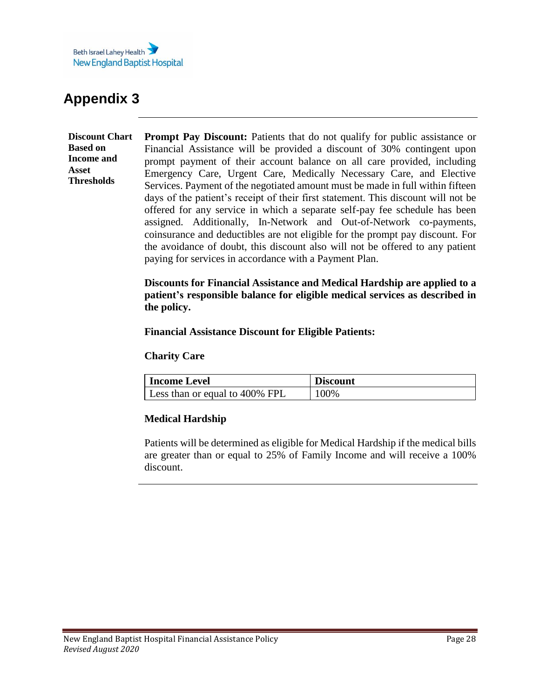

<span id="page-27-1"></span><span id="page-27-0"></span>**Discount Chart Based on Income and Asset Thresholds Prompt Pay Discount:** Patients that do not qualify for public assistance or Financial Assistance will be provided a discount of 30% contingent upon prompt payment of their account balance on all care provided, including Emergency Care, Urgent Care, Medically Necessary Care, and Elective Services. Payment of the negotiated amount must be made in full within fifteen days of the patient's receipt of their first statement. This discount will not be offered for any service in which a separate self-pay fee schedule has been assigned. Additionally, In-Network and Out-of-Network co-payments, coinsurance and deductibles are not eligible for the prompt pay discount. For the avoidance of doubt, this discount also will not be offered to any patient paying for services in accordance with a Payment Plan.

> **Discounts for Financial Assistance and Medical Hardship are applied to a patient's responsible balance for eligible medical services as described in the policy.**

**Financial Assistance Discount for Eligible Patients:**

### **Charity Care**

| <b>Income Level</b>            | <b>Discount</b> |
|--------------------------------|-----------------|
| Less than or equal to 400% FPL | 100%            |

### **Medical Hardship**

Patients will be determined as eligible for Medical Hardship if the medical bills are greater than or equal to 25% of Family Income and will receive a 100% discount.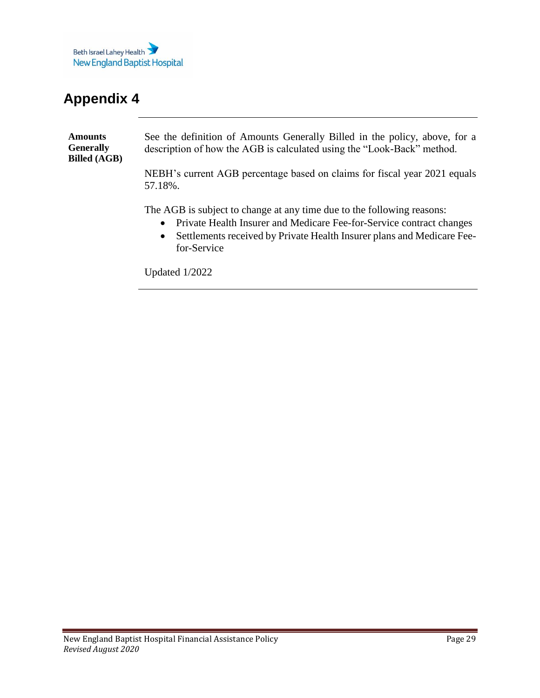

<span id="page-28-1"></span><span id="page-28-0"></span>**Amounts Generally Billed (AGB)**  See the definition of Amounts Generally Billed in the policy, above, for a description of how the AGB is calculated using the "Look-Back" method. NEBH's current AGB percentage based on claims for fiscal year 2021 equals

57.18%.

The AGB is subject to change at any time due to the following reasons:

- Private Health Insurer and Medicare Fee-for-Service contract changes
- Settlements received by Private Health Insurer plans and Medicare Feefor-Service

Updated 1/2022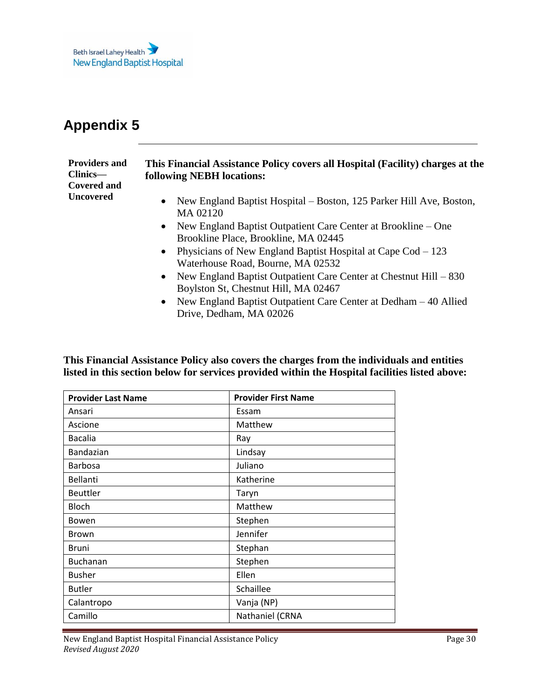

<span id="page-29-1"></span><span id="page-29-0"></span>

| <b>Providers and</b><br>Clinics—<br><b>Covered and</b> | This Financial Assistance Policy covers all Hospital (Facility) charges at the<br><b>following NEBH locations:</b> |
|--------------------------------------------------------|--------------------------------------------------------------------------------------------------------------------|
| <b>Uncovered</b>                                       | • New England Baptist Hospital – Boston, 125 Parker Hill Ave, Boston,<br>MA 02120                                  |
|                                                        | • New England Baptist Outpatient Care Center at Brookline $-$ One<br>Brookline Place, Brookline, MA 02445          |
|                                                        | • Physicians of New England Baptist Hospital at Cape $\text{Cod} - 123$<br>Waterhouse Road, Bourne, MA 02532       |
|                                                        | • New England Baptist Outpatient Care Center at Chestnut Hill $-830$<br>Boylston St, Chestnut Hill, MA 02467       |

• New England Baptist Outpatient Care Center at Dedham – 40 Allied Drive, Dedham, MA 02026

**This Financial Assistance Policy also covers the charges from the individuals and entities listed in this section below for services provided within the Hospital facilities listed above:**

| <b>Provider Last Name</b> | <b>Provider First Name</b> |
|---------------------------|----------------------------|
| Ansari                    | Essam                      |
| Ascione                   | Matthew                    |
| <b>Bacalia</b>            | Ray                        |
| Bandazian                 | Lindsay                    |
| <b>Barbosa</b>            | Juliano                    |
| <b>Bellanti</b>           | Katherine                  |
| <b>Beuttler</b>           | Taryn                      |
| <b>Bloch</b>              | Matthew                    |
| Bowen                     | Stephen                    |
| <b>Brown</b>              | Jennifer                   |
| Bruni                     | Stephan                    |
| <b>Buchanan</b>           | Stephen                    |
| <b>Busher</b>             | Ellen                      |
| <b>Butler</b>             | Schaillee                  |
| Calantropo                | Vanja (NP)                 |
| Camillo                   | Nathaniel (CRNA            |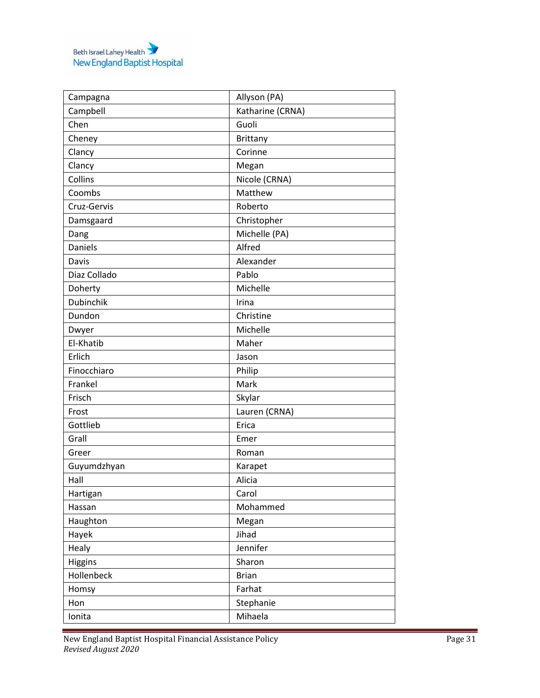|                      | Allyson (PA)     |
|----------------------|------------------|
| Campagna<br>Campbell | Katharine (CRNA) |
| Chen                 | Guoli            |
|                      |                  |
| Cheney               | <b>Brittany</b>  |
| Clancy               | Corinne          |
| Clancy               | Megan            |
| Collins              | Nicole (CRNA)    |
| Coombs               | Matthew          |
| Cruz-Gervis          | Roberto          |
| Damsgaard            | Christopher      |
| Dang                 | Michelle (PA)    |
| <b>Daniels</b>       | Alfred           |
| Davis                | Alexander        |
| Diaz Collado         | Pablo            |
| Doherty              | Michelle         |
| <b>Dubinchik</b>     | Irina            |
| Dundon               | Christine        |
| Dwyer                | Michelle         |
| El-Khatib            | Maher            |
| Erlich               | Jason            |
| Finocchiaro          | Philip           |
| Frankel              | Mark             |
| Frisch               | Skylar           |
| Frost                | Lauren (CRNA)    |
| Gottlieb             | Erica            |
| Grall                | Emer             |
| Greer                | Roman            |
| Guyumdzhyan          | Karapet          |
| Hall                 | Alicia           |
| Hartigan             | Carol            |
| Hassan               | Mohammed         |
| Haughton             | Megan            |
| Hayek                | Jihad            |
| Healy                | Jennifer         |
| Higgins              | Sharon           |
| Hollenbeck           | <b>Brian</b>     |
| Homsy                | Farhat           |
| Hon                  | Stephanie        |
|                      | Mihaela          |
| Ionita               |                  |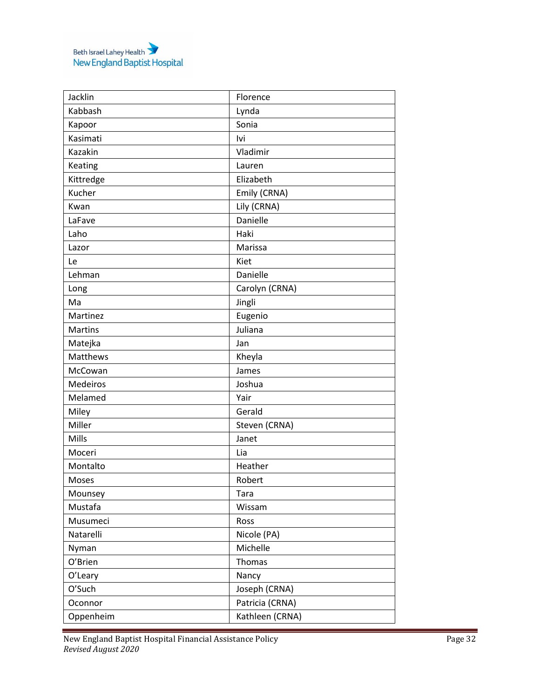| Jacklin         | Florence        |
|-----------------|-----------------|
| Kabbash         | Lynda           |
| Kapoor          | Sonia           |
| Kasimati        | lvi             |
| Kazakin         | Vladimir        |
| Keating         | Lauren          |
| Kittredge       | Elizabeth       |
| Kucher          | Emily (CRNA)    |
| Kwan            | Lily (CRNA)     |
| LaFave          | Danielle        |
| Laho            | Haki            |
| Lazor           | Marissa         |
| Le              | Kiet            |
| Lehman          | Danielle        |
| Long            | Carolyn (CRNA)  |
| Ma              | Jingli          |
| Martinez        | Eugenio         |
| Martins         | Juliana         |
| Matejka         | Jan             |
| Matthews        | Kheyla          |
| McCowan         | James           |
| <b>Medeiros</b> | Joshua          |
| Melamed         | Yair            |
| Miley           | Gerald          |
| Miller          | Steven (CRNA)   |
| Mills           | Janet           |
| Moceri          | Lia             |
| Montalto        | Heather         |
| Moses           | Robert          |
| Mounsey         | Tara            |
| Mustafa         | Wissam          |
| Musumeci        | Ross            |
| Natarelli       | Nicole (PA)     |
| Nyman           | Michelle        |
| O'Brien         | Thomas          |
| O'Leary         | Nancy           |
| O'Such          | Joseph (CRNA)   |
| Oconnor         | Patricia (CRNA) |
| Oppenheim       | Kathleen (CRNA) |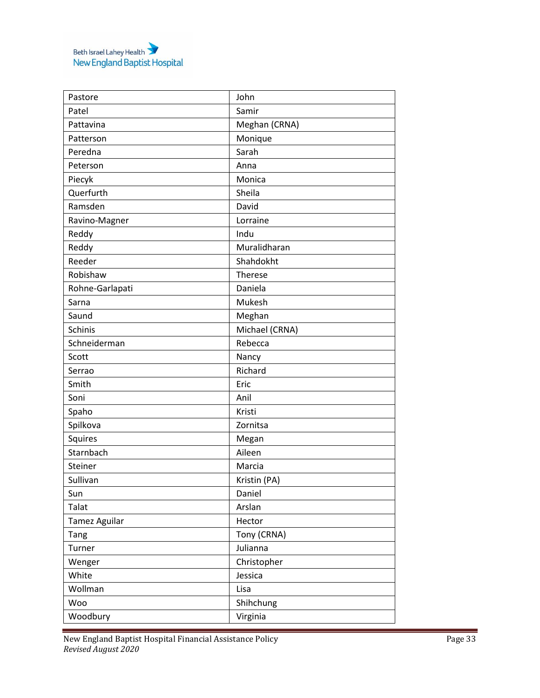| Pastore         | John           |
|-----------------|----------------|
| Patel           | Samir          |
| Pattavina       | Meghan (CRNA)  |
| Patterson       | Monique        |
| Peredna         | Sarah          |
| Peterson        | Anna           |
| Piecyk          | Monica         |
| Querfurth       | Sheila         |
| Ramsden         | David          |
| Ravino-Magner   | Lorraine       |
| Reddy           | Indu           |
| Reddy           | Muralidharan   |
| Reeder          | Shahdokht      |
| Robishaw        | <b>Therese</b> |
| Rohne-Garlapati | Daniela        |
| Sarna           | Mukesh         |
| Saund           | Meghan         |
| Schinis         | Michael (CRNA) |
| Schneiderman    | Rebecca        |
| Scott           | Nancy          |
| Serrao          | Richard        |
| Smith           | Eric           |
| Soni            | Anil           |
| Spaho           | Kristi         |
| Spilkova        | Zornitsa       |
| Squires         | Megan          |
| Starnbach       | Aileen         |
| Steiner         | Marcia         |
| Sullivan        | Kristin (PA)   |
| Sun             | Daniel         |
| Talat           | Arslan         |
| Tamez Aguilar   | Hector         |
| Tang            | Tony (CRNA)    |
| Turner          | Julianna       |
| Wenger          | Christopher    |
| White           | Jessica        |
| Wollman         | Lisa           |
| Woo             | Shihchung      |
| Woodbury        | Virginia       |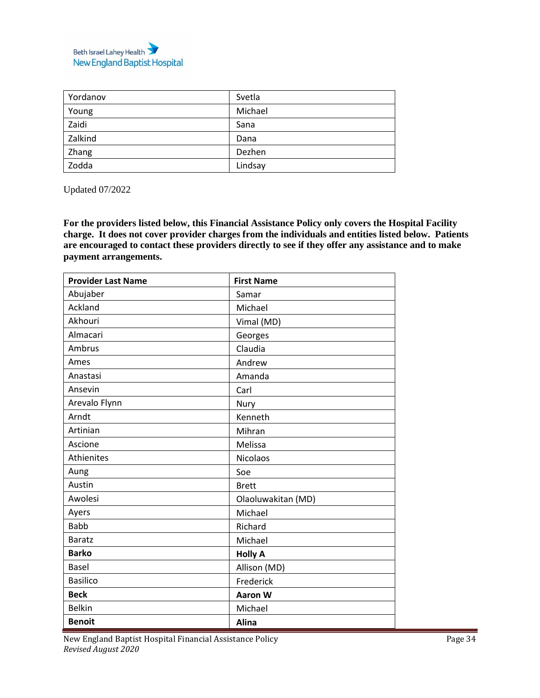

| Yordanov | Svetla  |
|----------|---------|
| Young    | Michael |
| Zaidi    | Sana    |
| Zalkind  | Dana    |
| Zhang    | Dezhen  |
| Zodda    | Lindsay |

Updated 07/2022

**For the providers listed below, this Financial Assistance Policy only covers the Hospital Facility charge. It does not cover provider charges from the individuals and entities listed below. Patients are encouraged to contact these providers directly to see if they offer any assistance and to make payment arrangements.** 

| <b>Provider Last Name</b> | <b>First Name</b>  |
|---------------------------|--------------------|
| Abujaber                  | Samar              |
| Ackland                   | Michael            |
| Akhouri                   | Vimal (MD)         |
| Almacari                  | Georges            |
| Ambrus                    | Claudia            |
| Ames                      | Andrew             |
| Anastasi                  | Amanda             |
| Ansevin                   | Carl               |
| Arevalo Flynn             | Nury               |
| Arndt                     | Kenneth            |
| Artinian                  | Mihran             |
| Ascione                   | Melissa            |
| Athienites                | <b>Nicolaos</b>    |
| Aung                      | Soe                |
| Austin                    | <b>Brett</b>       |
| Awolesi                   | Olaoluwakitan (MD) |
| Ayers                     | Michael            |
| <b>Babb</b>               | Richard            |
| <b>Baratz</b>             | Michael            |
| <b>Barko</b>              | <b>Holly A</b>     |
| <b>Basel</b>              | Allison (MD)       |
| <b>Basilico</b>           | Frederick          |
| <b>Beck</b>               | <b>Aaron W</b>     |
| <b>Belkin</b>             | Michael            |
| <b>Benoit</b>             | <b>Alina</b>       |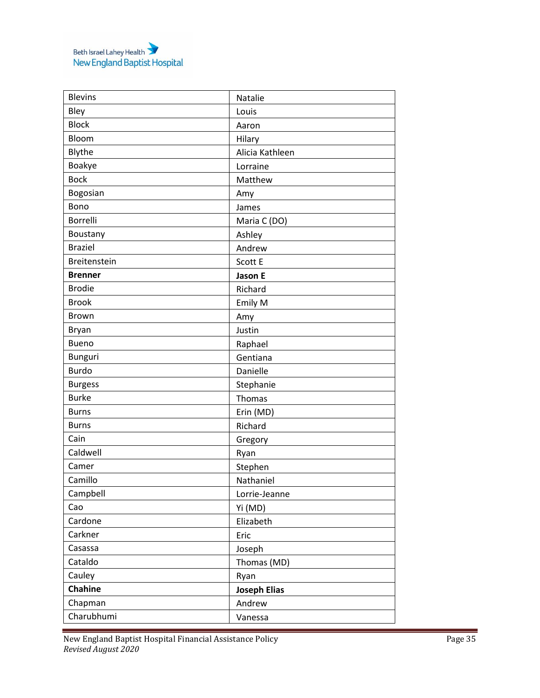| <b>Blevins</b>  | Natalie             |
|-----------------|---------------------|
| Bley            | Louis               |
| <b>Block</b>    | Aaron               |
| Bloom           | Hilary              |
| Blythe          | Alicia Kathleen     |
| Boakye          | Lorraine            |
| <b>Bock</b>     | Matthew             |
| Bogosian        | Amy                 |
| Bono            | James               |
| <b>Borrelli</b> | Maria C (DO)        |
| Boustany        | Ashley              |
| <b>Braziel</b>  | Andrew              |
| Breitenstein    | Scott E             |
| <b>Brenner</b>  | Jason E             |
| <b>Brodie</b>   | Richard             |
| <b>Brook</b>    | Emily M             |
| <b>Brown</b>    | Amy                 |
| Bryan           | Justin              |
| <b>Bueno</b>    | Raphael             |
| <b>Bunguri</b>  | Gentiana            |
| <b>Burdo</b>    | Danielle            |
| <b>Burgess</b>  | Stephanie           |
| <b>Burke</b>    | Thomas              |
| <b>Burns</b>    | Erin (MD)           |
| <b>Burns</b>    | Richard             |
| Cain            | Gregory             |
| Caldwell        | Ryan                |
| Camer           | Stephen             |
| Camillo         | Nathaniel           |
| Campbell        | Lorrie-Jeanne       |
| Cao             | Yi (MD)             |
| Cardone         | Elizabeth           |
| Carkner         | Eric                |
| Casassa         | Joseph              |
| Cataldo         | Thomas (MD)         |
| Cauley          | Ryan                |
| Chahine         | <b>Joseph Elias</b> |
| Chapman         | Andrew              |
| Charubhumi      | Vanessa             |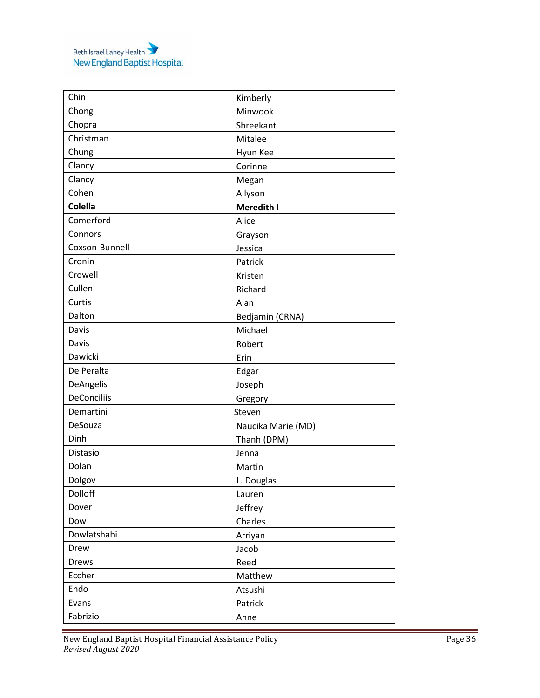| Chin               | Kimberly           |
|--------------------|--------------------|
| Chong              | Minwook            |
| Chopra             | Shreekant          |
| Christman          | Mitalee            |
| Chung              | Hyun Kee           |
| Clancy             | Corinne            |
| Clancy             | Megan              |
| Cohen              | Allyson            |
| Colella            | Meredith I         |
| Comerford          | Alice              |
| Connors            | Grayson            |
| Coxson-Bunnell     | Jessica            |
| Cronin             | Patrick            |
| Crowell            | Kristen            |
| Cullen             | Richard            |
| Curtis             | Alan               |
| Dalton             | Bedjamin (CRNA)    |
| Davis              | Michael            |
| Davis              | Robert             |
| Dawicki            | Erin               |
| De Peralta         | Edgar              |
| DeAngelis          | Joseph             |
| <b>DeConciliis</b> | Gregory            |
| Demartini          | Steven             |
| DeSouza            | Naucika Marie (MD) |
| Dinh               | Thanh (DPM)        |
| Distasio           | Jenna              |
| Dolan              | Martin             |
| Dolgov             | L. Douglas         |
| Dolloff            | Lauren             |
| Dover              | Jeffrey            |
| Dow                | Charles            |
| Dowlatshahi        | Arriyan            |
| Drew               | Jacob              |
| <b>Drews</b>       | Reed               |
| Eccher             | Matthew            |
| Endo               | Atsushi            |
| Evans              | Patrick            |
| Fabrizio           | Anne               |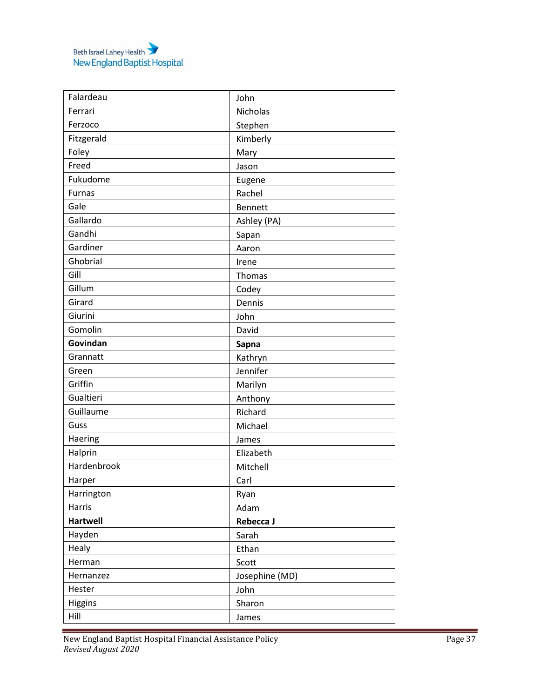| Falardeau       | John           |
|-----------------|----------------|
| Ferrari         | Nicholas       |
| Ferzoco         | Stephen        |
| Fitzgerald      | Kimberly       |
| Foley           | Mary           |
| Freed           | Jason          |
| Fukudome        | Eugene         |
| <b>Furnas</b>   | Rachel         |
| Gale            | <b>Bennett</b> |
| Gallardo        | Ashley (PA)    |
| Gandhi          | Sapan          |
| Gardiner        | Aaron          |
| Ghobrial        | Irene          |
| Gill            | Thomas         |
| Gillum          | Codey          |
| Girard          | Dennis         |
| Giurini         | John           |
| Gomolin         | David          |
| Govindan        | Sapna          |
| Grannatt        | Kathryn        |
| Green           | Jennifer       |
| Griffin         | Marilyn        |
| Gualtieri       | Anthony        |
| Guillaume       | Richard        |
| Guss            | Michael        |
| Haering         | James          |
| Halprin         | Elizabeth      |
| Hardenbrook     | Mitchell       |
| Harper          | Carl           |
| Harrington      | Ryan           |
| Harris          | Adam           |
| <b>Hartwell</b> | Rebecca J      |
| Hayden          | Sarah          |
| Healy           | Ethan          |
| Herman          | Scott          |
| Hernanzez       | Josephine (MD) |
| Hester          | John           |
| Higgins         | Sharon         |
| Hill            | James          |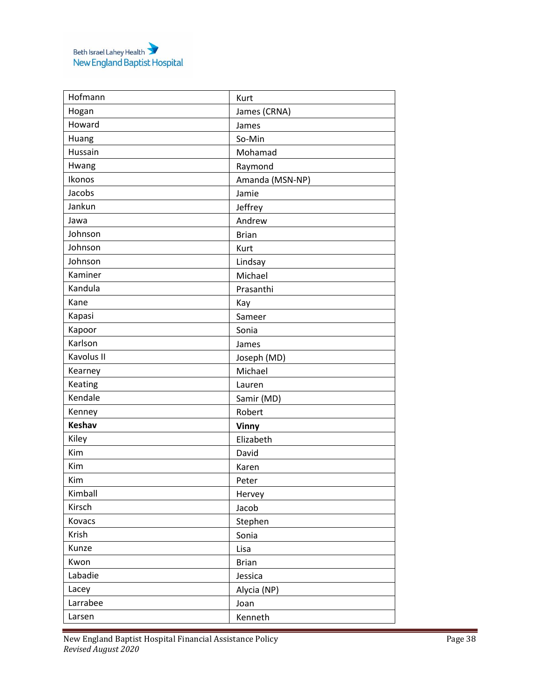| Hofmann       | Kurt            |
|---------------|-----------------|
| Hogan         | James (CRNA)    |
| Howard        | James           |
| Huang         | So-Min          |
| Hussain       | Mohamad         |
| Hwang         | Raymond         |
| Ikonos        | Amanda (MSN-NP) |
| Jacobs        | Jamie           |
| Jankun        | Jeffrey         |
| Jawa          | Andrew          |
| Johnson       | <b>Brian</b>    |
| Johnson       | Kurt            |
| Johnson       | Lindsay         |
| Kaminer       | Michael         |
| Kandula       | Prasanthi       |
| Kane          | Kay             |
| Kapasi        | Sameer          |
| Kapoor        | Sonia           |
| Karlson       | James           |
| Kavolus II    | Joseph (MD)     |
| Kearney       | Michael         |
| Keating       | Lauren          |
| Kendale       | Samir (MD)      |
| Kenney        | Robert          |
| <b>Keshav</b> | Vinny           |
| Kiley         | Elizabeth       |
| Kim           | David           |
| Kim           | Karen           |
| Kim           | Peter           |
| Kimball       | Hervey          |
| Kirsch        | Jacob           |
| Kovacs        | Stephen         |
| Krish         | Sonia           |
| Kunze         | Lisa            |
| Kwon          | <b>Brian</b>    |
| Labadie       | Jessica         |
| Lacey         | Alycia (NP)     |
| Larrabee      | Joan            |
| Larsen        | Kenneth         |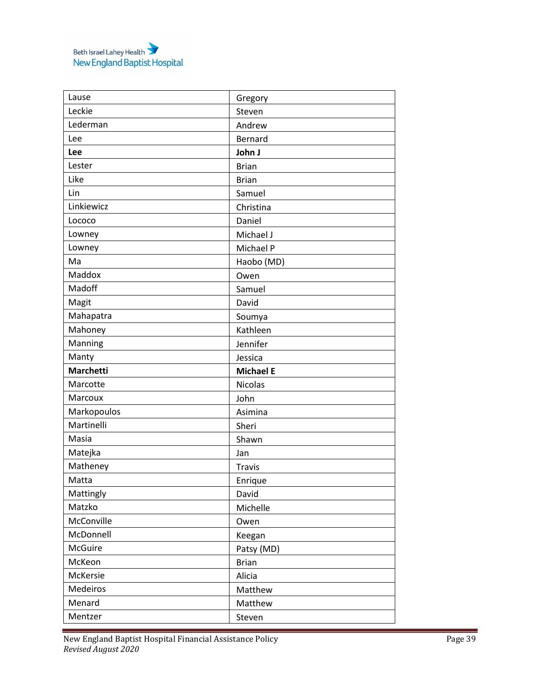| Lause            | Gregory          |
|------------------|------------------|
| Leckie           | Steven           |
| Lederman         | Andrew           |
| Lee              | Bernard          |
| Lee              | John J           |
| Lester           | <b>Brian</b>     |
| Like             | <b>Brian</b>     |
| Lin              | Samuel           |
| Linkiewicz       | Christina        |
| Lococo           | Daniel           |
| Lowney           | Michael J        |
| Lowney           | Michael P        |
| Ma               | Haobo (MD)       |
| Maddox           | Owen             |
| Madoff           | Samuel           |
| Magit            | David            |
| Mahapatra        | Soumya           |
| Mahoney          | Kathleen         |
| Manning          | Jennifer         |
| Manty            | Jessica          |
| <b>Marchetti</b> | <b>Michael E</b> |
| Marcotte         | Nicolas          |
| Marcoux          | John             |
| Markopoulos      | Asimina          |
| Martinelli       | Sheri            |
| Masia            | Shawn            |
| Matejka          | Jan              |
| Matheney         | <b>Travis</b>    |
| Matta            | Enrique          |
| Mattingly        | David            |
| Matzko           | Michelle         |
| McConville       | Owen             |
| McDonnell        | Keegan           |
| McGuire          | Patsy (MD)       |
| McKeon           | <b>Brian</b>     |
| McKersie         | Alicia           |
| Medeiros         | Matthew          |
| Menard           | Matthew          |
| Mentzer          | Steven           |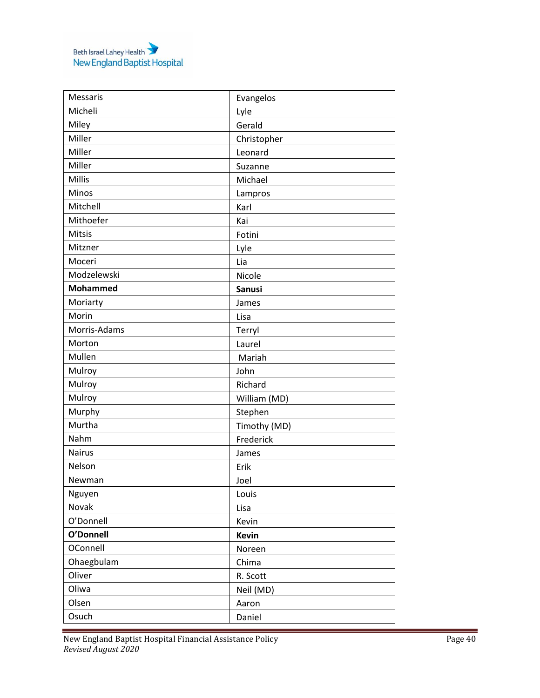| Messaris        | Evangelos     |
|-----------------|---------------|
| Micheli         | Lyle          |
| Miley           | Gerald        |
| Miller          | Christopher   |
| Miller          | Leonard       |
| Miller          | Suzanne       |
| Millis          | Michael       |
| Minos           | Lampros       |
| Mitchell        | Karl          |
| Mithoefer       | Kai           |
| Mitsis          | Fotini        |
| Mitzner         | Lyle          |
| Moceri          | Lia           |
| Modzelewski     | Nicole        |
| <b>Mohammed</b> | <b>Sanusi</b> |
| Moriarty        | James         |
| Morin           | Lisa          |
| Morris-Adams    | Terryl        |
| Morton          | Laurel        |
| Mullen          | Mariah        |
| Mulroy          | John          |
| Mulroy          | Richard       |
| Mulroy          | William (MD)  |
| Murphy          | Stephen       |
| Murtha          | Timothy (MD)  |
| Nahm            | Frederick     |
| <b>Nairus</b>   | James         |
| Nelson          | Erik          |
| Newman          | Joel          |
| Nguyen          | Louis         |
| Novak           | Lisa          |
| O'Donnell       | Kevin         |
| O'Donnell       | <b>Kevin</b>  |
| OConnell        | Noreen        |
| Ohaegbulam      | Chima         |
| Oliver          | R. Scott      |
| Oliwa           | Neil (MD)     |
| Olsen           | Aaron         |
| Osuch           | Daniel        |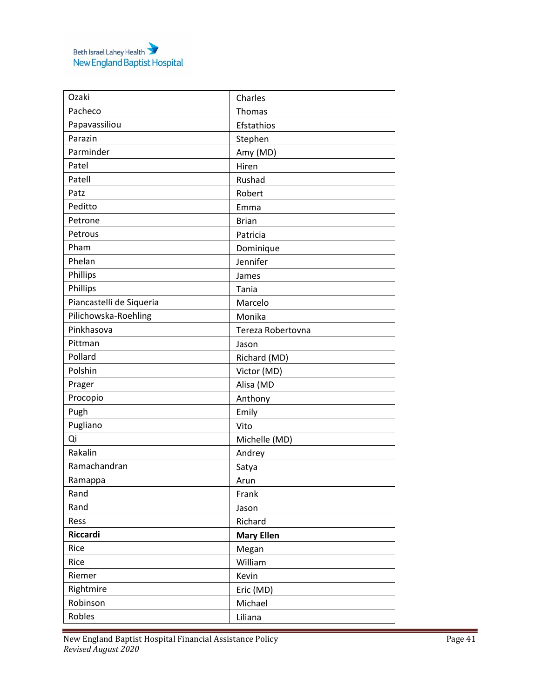| Ozaki                    | Charles           |
|--------------------------|-------------------|
| Pacheco                  | Thomas            |
| Papavassiliou            | Efstathios        |
| Parazin                  | Stephen           |
| Parminder                | Amy (MD)          |
| Patel                    | Hiren             |
| Patell                   | Rushad            |
| Patz                     | Robert            |
| Peditto                  | Emma              |
| Petrone                  | <b>Brian</b>      |
| Petrous                  | Patricia          |
| Pham                     | Dominique         |
| Phelan                   | Jennifer          |
| Phillips                 | James             |
| Phillips                 | Tania             |
| Piancastelli de Siqueria | Marcelo           |
| Pilichowska-Roehling     | Monika            |
| Pinkhasova               | Tereza Robertovna |
| Pittman                  | Jason             |
| Pollard                  | Richard (MD)      |
| Polshin                  | Victor (MD)       |
| Prager                   | Alisa (MD         |
| Procopio                 | Anthony           |
| Pugh                     | Emily             |
| Pugliano                 | Vito              |
| Qi                       | Michelle (MD)     |
| Rakalin                  | Andrey            |
| Ramachandran             | Satya             |
| Ramappa                  | Arun              |
| Rand                     | Frank             |
| Rand                     | Jason             |
| Ress                     | Richard           |
| Riccardi                 | <b>Mary Ellen</b> |
| Rice                     | Megan             |
| Rice                     | William           |
| Riemer                   | Kevin             |
| Rightmire                | Eric (MD)         |
| Robinson                 | Michael           |
| Robles                   | Liliana           |
|                          |                   |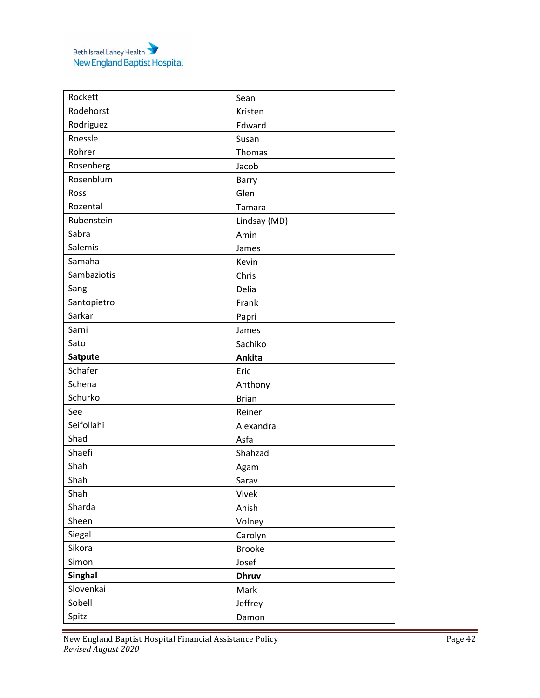| Rockett        | Sean          |
|----------------|---------------|
| Rodehorst      | Kristen       |
| Rodriguez      | Edward        |
| Roessle        | Susan         |
| Rohrer         | Thomas        |
| Rosenberg      | Jacob         |
| Rosenblum      | Barry         |
| Ross           | Glen          |
| Rozental       | Tamara        |
| Rubenstein     | Lindsay (MD)  |
| Sabra          | Amin          |
| Salemis        | James         |
| Samaha         | Kevin         |
| Sambaziotis    | Chris         |
| Sang           | Delia         |
| Santopietro    | Frank         |
| Sarkar         | Papri         |
| Sarni          | James         |
| Sato           | Sachiko       |
| Satpute        | Ankita        |
| Schafer        | Eric          |
| Schena         | Anthony       |
| Schurko        | <b>Brian</b>  |
| See            | Reiner        |
| Seifollahi     | Alexandra     |
| Shad           | Asfa          |
| Shaefi         | Shahzad       |
| Shah           | Agam          |
| Shah           | Sarav         |
| Shah           | Vivek         |
| Sharda         | Anish         |
| Sheen          | Volney        |
| Siegal         | Carolyn       |
| Sikora         | <b>Brooke</b> |
| Simon          | Josef         |
| <b>Singhal</b> | <b>Dhruv</b>  |
| Slovenkai      | Mark          |
| Sobell         | Jeffrey       |
| Spitz          | Damon         |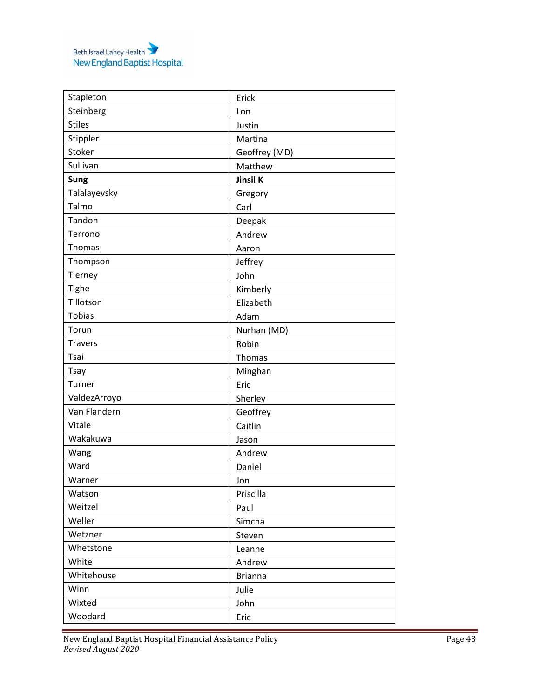| Stapleton      | Erick          |
|----------------|----------------|
| Steinberg      | Lon            |
| <b>Stiles</b>  | Justin         |
| Stippler       | Martina        |
| Stoker         | Geoffrey (MD)  |
| Sullivan       | Matthew        |
| Sung           | Jinsil K       |
| Talalayevsky   | Gregory        |
| Talmo          | Carl           |
| Tandon         | Deepak         |
| Terrono        | Andrew         |
| Thomas         | Aaron          |
| Thompson       | Jeffrey        |
| Tierney        | John           |
| Tighe          | Kimberly       |
| Tillotson      | Elizabeth      |
| Tobias         | Adam           |
| Torun          | Nurhan (MD)    |
| <b>Travers</b> | Robin          |
| Tsai           | Thomas         |
| Tsay           | Minghan        |
| Turner         | Eric           |
| ValdezArroyo   | Sherley        |
| Van Flandern   | Geoffrey       |
| Vitale         | Caitlin        |
| Wakakuwa       | Jason          |
| Wang           | Andrew         |
| Ward           | Daniel         |
| Warner         | Jon            |
| Watson         | Priscilla      |
| Weitzel        | Paul           |
| Weller         | Simcha         |
| Wetzner        | Steven         |
| Whetstone      | Leanne         |
| White          | Andrew         |
| Whitehouse     | <b>Brianna</b> |
| Winn           | Julie          |
| Wixted         | John           |
| Woodard        | Eric           |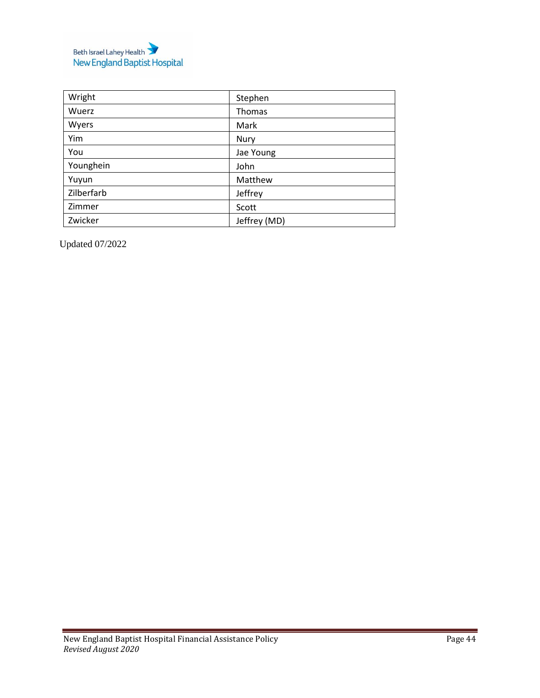

| Wright     | Stephen      |
|------------|--------------|
| Wuerz      | Thomas       |
| Wyers      | Mark         |
| Yim        | Nury         |
| You        | Jae Young    |
| Younghein  | John         |
| Yuyun      | Matthew      |
| Zilberfarb | Jeffrey      |
| Zimmer     | Scott        |
| Zwicker    | Jeffrey (MD) |

Updated 07/2022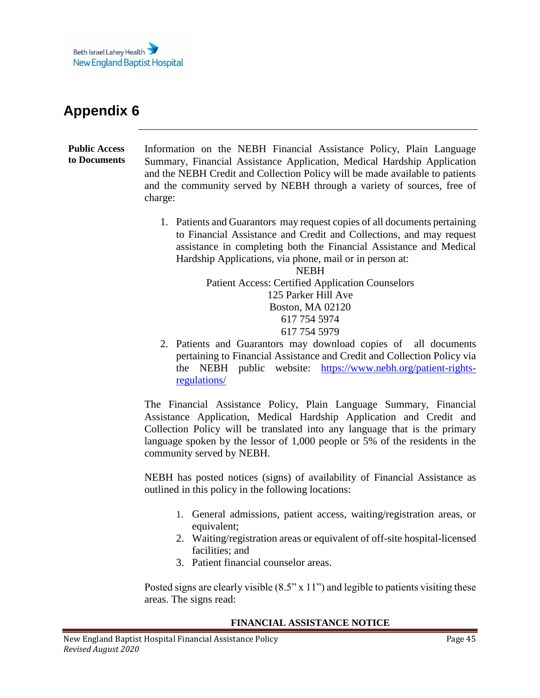

<span id="page-44-1"></span><span id="page-44-0"></span>**Public Access to Documents** Information on the NEBH Financial Assistance Policy, Plain Language Summary, Financial Assistance Application, Medical Hardship Application and the NEBH Credit and Collection Policy will be made available to patients and the community served by NEBH through a variety of sources, free of charge:

> 1. Patients and Guarantors may request copies of all documents pertaining to Financial Assistance and Credit and Collections, and may request assistance in completing both the Financial Assistance and Medical Hardship Applications, via phone, mail or in person at:

> > NEBH Patient Access: Certified Application Counselors 125 Parker Hill Ave Boston, MA 02120 617 754 5974 617 754 5979

2. Patients and Guarantors may download copies of all documents pertaining to Financial Assistance and Credit and Collection Policy via the NEBH public website: [https://www.nebh.org/patient-rights](https://www.nebh.org/patient-rights-regulations/)[regulations/](https://www.nebh.org/patient-rights-regulations/)

The Financial Assistance Policy, Plain Language Summary, Financial Assistance Application, Medical Hardship Application and Credit and Collection Policy will be translated into any language that is the primary language spoken by the lessor of 1,000 people or 5% of the residents in the community served by NEBH.

NEBH has posted notices (signs) of availability of Financial Assistance as outlined in this policy in the following locations:

- 1. General admissions, patient access, waiting/registration areas, or equivalent;
- 2. Waiting/registration areas or equivalent of off-site hospital-licensed facilities; and
- 3. Patient financial counselor areas.

Posted signs are clearly visible  $(8.5" \times 11")$  and legible to patients visiting these areas. The signs read:

#### **FINANCIAL ASSISTANCE NOTICE**